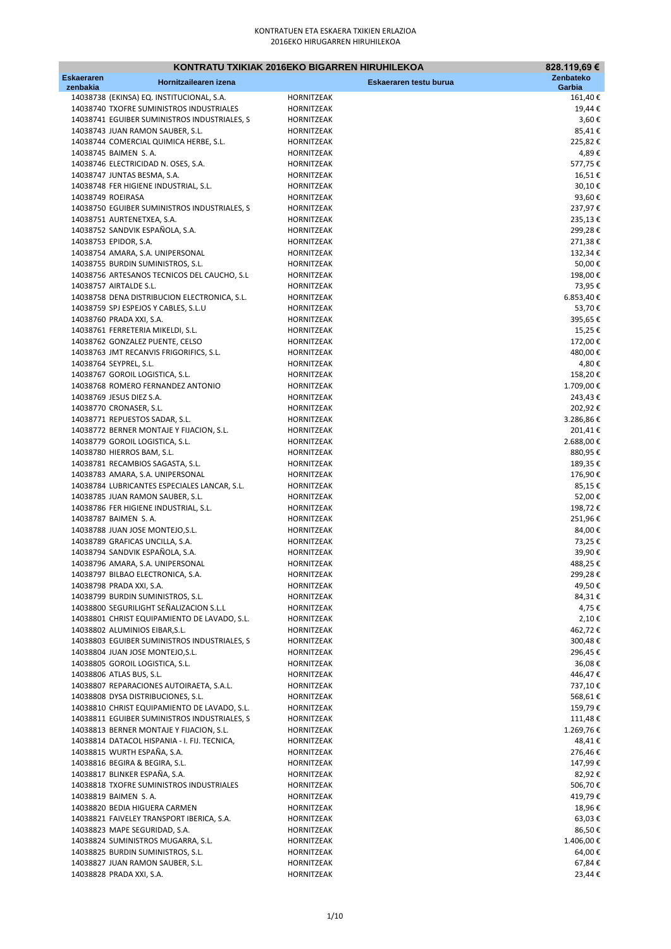|                               |                                                                            | KONTRATU TXIKIAK 2016EKO BIGARREN HIRUHILEKOA | 828.119,69€           |
|-------------------------------|----------------------------------------------------------------------------|-----------------------------------------------|-----------------------|
| <b>Eskaeraren</b><br>zenbakia | Hornitzailearen izena                                                      | Eskaeraren testu burua                        | Zenbateko<br>Garbia   |
|                               | 14038738 (EKINSA) EQ. INSTITUCIONAL, S.A.                                  | HORNITZEAK                                    | 161,40€               |
|                               | 14038740 TXOFRE SUMINISTROS INDUSTRIALES                                   | HORNITZEAK                                    | 19,44€                |
|                               | 14038741 EGUIBER SUMINISTROS INDUSTRIALES, S                               | <b>HORNITZEAK</b>                             | 3,60€                 |
|                               | 14038743 JUAN RAMON SAUBER, S.L.                                           | HORNITZEAK                                    | 85,41€                |
|                               | 14038744 COMERCIAL QUIMICA HERBE, S.L.                                     | HORNITZEAK                                    | 225,82€               |
|                               | 14038745 BAIMEN S.A.                                                       | HORNITZEAK                                    | 4,89€                 |
|                               | 14038746 ELECTRICIDAD N. OSES, S.A.                                        | HORNITZEAK                                    | 577,75€               |
|                               | 14038747 JUNTAS BESMA, S.A.                                                | HORNITZEAK                                    | 16,51€                |
|                               | 14038748 FER HIGIENE INDUSTRIAL, S.L.<br>14038749 ROEIRASA                 | HORNITZEAK<br>HORNITZEAK                      | 30,10€<br>93,60€      |
|                               | 14038750 EGUIBER SUMINISTROS INDUSTRIALES, S                               | HORNITZEAK                                    | 237,97€               |
|                               | 14038751 AURTENETXEA, S.A.                                                 | HORNITZEAK                                    | 235,13€               |
|                               | 14038752 SANDVIK ESPAÑOLA, S.A.                                            | HORNITZEAK                                    | 299,28€               |
|                               | 14038753 EPIDOR, S.A.                                                      | HORNITZEAK                                    | 271,38€               |
|                               | 14038754 AMARA, S.A. UNIPERSONAL                                           | HORNITZEAK                                    | 132,34€               |
|                               | 14038755 BURDIN SUMINISTROS, S.L.                                          | HORNITZEAK                                    | 50,00€                |
|                               | 14038756 ARTESANOS TECNICOS DEL CAUCHO, S.L                                | HORNITZEAK                                    | 198,00€               |
|                               | 14038757 AIRTALDE S.L.                                                     | HORNITZEAK                                    | 73,95€                |
|                               | 14038758 DENA DISTRIBUCION ELECTRONICA, S.L.                               | HORNITZEAK                                    | 6.853,40€             |
|                               | 14038759 SPJ ESPEJOS Y CABLES, S.L.U<br>14038760 PRADA XXI, S.A.           | HORNITZEAK<br>HORNITZEAK                      | 53,70€<br>395,65€     |
|                               | 14038761 FERRETERIA MIKELDI, S.L.                                          | HORNITZEAK                                    | 15,25€                |
|                               | 14038762 GONZALEZ PUENTE, CELSO                                            | HORNITZEAK                                    | 172,00€               |
|                               | 14038763 JMT RECANVIS FRIGORIFICS, S.L.                                    | HORNITZEAK                                    | 480,00€               |
|                               | 14038764 SEYPREL, S.L.                                                     | HORNITZEAK                                    | 4,80€                 |
|                               | 14038767 GOROIL LOGISTICA, S.L.                                            | HORNITZEAK                                    | 158,20€               |
|                               | 14038768 ROMERO FERNANDEZ ANTONIO                                          | HORNITZEAK                                    | 1.709,00€             |
|                               | 14038769 JESUS DIEZ S.A.                                                   | HORNITZEAK                                    | 243,43€               |
|                               | 14038770 CRONASER, S.L.                                                    | HORNITZEAK                                    | 202,92€               |
|                               | 14038771 REPUESTOS SADAR, S.L.                                             | HORNITZEAK                                    | 3.286,86€             |
|                               | 14038772 BERNER MONTAJE Y FIJACION, S.L.                                   | HORNITZEAK<br>HORNITZEAK                      | 201,41€               |
|                               | 14038779 GOROIL LOGISTICA, S.L.<br>14038780 HIERROS BAM, S.L.              | HORNITZEAK                                    | 2.688,00 €<br>880,95€ |
|                               | 14038781 RECAMBIOS SAGASTA, S.L.                                           | HORNITZEAK                                    | 189,35€               |
|                               | 14038783 AMARA, S.A. UNIPERSONAL                                           | HORNITZEAK                                    | 176,90€               |
|                               | 14038784 LUBRICANTES ESPECIALES LANCAR, S.L.                               | HORNITZEAK                                    | 85,15€                |
|                               | 14038785 JUAN RAMON SAUBER, S.L.                                           | HORNITZEAK                                    | 52,00€                |
|                               | 14038786 FER HIGIENE INDUSTRIAL, S.L.                                      | HORNITZEAK                                    | 198,72€               |
|                               | 14038787 BAIMEN S.A.                                                       | HORNITZEAK                                    | 251,96€               |
|                               | 14038788 JUAN JOSE MONTEJO, S.L.                                           | HORNITZEAK                                    | 84,00€                |
|                               | 14038789 GRAFICAS UNCILLA, S.A.<br>14038794 SANDVIK ESPAÑOLA, S.A.         | HORNITZEAK<br>HORNITZEAK                      | 73,25€                |
|                               | 14038796 AMARA, S.A. UNIPERSONAL                                           | HORNITZEAK                                    | 39,90€<br>488,25€     |
|                               | 14038797 BILBAO ELECTRONICA, S.A.                                          | HORNITZEAK                                    | 299,28€               |
|                               | 14038798 PRADA XXI, S.A.                                                   | HORNITZEAK                                    | 49,50€                |
|                               | 14038799 BURDIN SUMINISTROS, S.L.                                          | HORNITZEAK                                    | 84,31 €               |
|                               | 14038800 SEGURILIGHT SEÑALIZACION S.L.L                                    | HORNITZEAK                                    | 4,75 €                |
|                               | 14038801 CHRIST EQUIPAMIENTO DE LAVADO, S.L.                               | HORNITZEAK                                    | 2,10€                 |
|                               | 14038802 ALUMINIOS EIBAR, S.L.                                             | HORNITZEAK                                    | 462,72€               |
|                               | 14038803 EGUIBER SUMINISTROS INDUSTRIALES, S                               | HORNITZEAK                                    | 300,48€               |
|                               | 14038804 JUAN JOSE MONTEJO, S.L.                                           | HORNITZEAK                                    | 296,45€               |
|                               | 14038805 GOROIL LOGISTICA, S.L.                                            | HORNITZEAK                                    | 36,08€                |
|                               | 14038806 ATLAS BUS, S.L.<br>14038807 REPARACIONES AUTOIRAETA, S.A.L.       | HORNITZEAK<br>HORNITZEAK                      | 446,47€<br>737,10€    |
|                               | 14038808 DYSA DISTRIBUCIONES, S.L.                                         | HORNITZEAK                                    | 568,61€               |
|                               | 14038810 CHRIST EQUIPAMIENTO DE LAVADO, S.L.                               | HORNITZEAK                                    | 159,79€               |
|                               | 14038811 EGUIBER SUMINISTROS INDUSTRIALES, S                               | HORNITZEAK                                    | 111,48€               |
|                               | 14038813 BERNER MONTAJE Y FIJACION, S.L.                                   | HORNITZEAK                                    | 1.269,76€             |
|                               | 14038814 DATACOL HISPANIA - I. FIJ. TECNICA,                               | HORNITZEAK                                    | 48,41€                |
|                               | 14038815 WURTH ESPAÑA, S.A.                                                | HORNITZEAK                                    | 276,46€               |
|                               | 14038816 BEGIRA & BEGIRA, S.L.                                             | HORNITZEAK                                    | 147,99€               |
|                               | 14038817 BLINKER ESPAÑA, S.A.                                              | HORNITZEAK                                    | 82,92€                |
|                               | 14038818 TXOFRE SUMINISTROS INDUSTRIALES                                   | HORNITZEAK                                    | 506,70€               |
|                               | 14038819 BAIMEN S.A.                                                       | HORNITZEAK                                    | 419,79€               |
|                               | 14038820 BEDIA HIGUERA CARMEN<br>14038821 FAIVELEY TRANSPORT IBERICA, S.A. | HORNITZEAK<br>HORNITZEAK                      | 18,96€<br>63,03 €     |
|                               | 14038823 MAPE SEGURIDAD, S.A.                                              | HORNITZEAK                                    | 86,50€                |
|                               | 14038824 SUMINISTROS MUGARRA, S.L.                                         | HORNITZEAK                                    | 1.406,00€             |
|                               | 14038825 BURDIN SUMINISTROS, S.L.                                          | HORNITZEAK                                    | 64,00€                |
|                               | 14038827 JUAN RAMON SAUBER, S.L.                                           | HORNITZEAK                                    | 67,84€                |
|                               | 14038828 PRADA XXI, S.A.                                                   | HORNITZEAK                                    | 23,44 €               |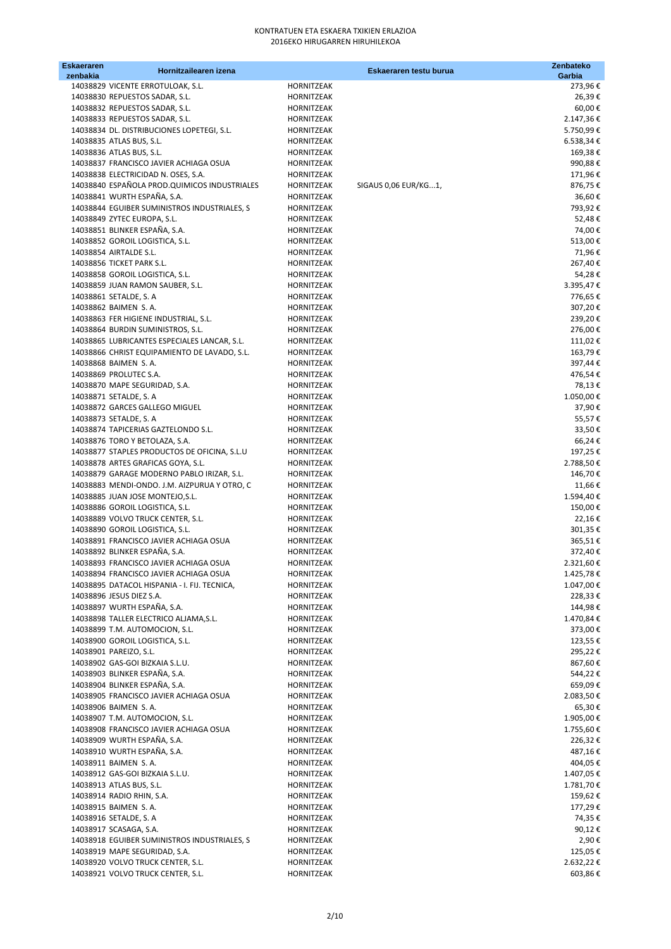| <b>Eskaeraren</b><br>zenbakia | Hornitzailearen izena                                    |                          | Eskaeraren testu burua | Zenbateko<br>Garbia |
|-------------------------------|----------------------------------------------------------|--------------------------|------------------------|---------------------|
|                               | 14038829 VICENTE ERROTULOAK, S.L.                        | HORNITZEAK               |                        | 273,96€             |
|                               | 14038830 REPUESTOS SADAR, S.L.                           | HORNITZEAK               |                        | 26,39€              |
|                               | 14038832 REPUESTOS SADAR, S.L.                           | HORNITZEAK               |                        | 60,00€              |
|                               | 14038833 REPUESTOS SADAR, S.L.                           | HORNITZEAK               |                        | 2.147,36€           |
|                               | 14038834 DL. DISTRIBUCIONES LOPETEGI, S.L.               | HORNITZEAK               |                        | 5.750,99€           |
|                               | 14038835 ATLAS BUS, S.L.                                 | HORNITZEAK               |                        | 6.538,34€           |
|                               | 14038836 ATLAS BUS, S.L.                                 | HORNITZEAK               |                        | 169,38€             |
|                               | 14038837 FRANCISCO JAVIER ACHIAGA OSUA                   | HORNITZEAK               |                        | 990,88€             |
|                               | 14038838 ELECTRICIDAD N. OSES, S.A.                      | HORNITZEAK               |                        | 171,96€             |
|                               | 14038840 ESPAÑOLA PROD.QUIMICOS INDUSTRIALES             | HORNITZEAK               | SIGAUS 0,06 EUR/KG1,   | 876,75€             |
|                               | 14038841 WURTH ESPAÑA, S.A.                              | HORNITZEAK               |                        | 36,60€              |
|                               | 14038844 EGUIBER SUMINISTROS INDUSTRIALES, S             | HORNITZEAK               |                        | 793,92€             |
|                               | 14038849 ZYTEC EUROPA, S.L.                              | HORNITZEAK               |                        | 52,48€              |
|                               | 14038851 BLINKER ESPAÑA, S.A.                            | HORNITZEAK               |                        | 74,00€              |
|                               | 14038852 GOROIL LOGISTICA, S.L.                          | HORNITZEAK               |                        | 513,00€             |
|                               | 14038854 AIRTALDE S.L.                                   | HORNITZEAK               |                        | 71,96€              |
|                               | 14038856 TICKET PARK S.L.                                | HORNITZEAK               |                        | 267,40€             |
|                               | 14038858 GOROIL LOGISTICA, S.L.                          | HORNITZEAK               |                        | 54,28€              |
|                               | 14038859 JUAN RAMON SAUBER, S.L.                         | HORNITZEAK               |                        | 3.395,47€           |
|                               | 14038861 SETALDE, S. A                                   | HORNITZEAK               |                        | 776,65€             |
|                               | 14038862 BAIMEN S.A.                                     | <b>HORNITZEAK</b>        |                        | 307,20€             |
|                               | 14038863 FER HIGIENE INDUSTRIAL, S.L.                    | HORNITZEAK               |                        | 239,20€             |
|                               | 14038864 BURDIN SUMINISTROS, S.L.                        | <b>HORNITZEAK</b>        |                        | 276,00€             |
|                               | 14038865 LUBRICANTES ESPECIALES LANCAR, S.L.             | HORNITZEAK               |                        | 111,02€             |
|                               | 14038866 CHRIST EQUIPAMIENTO DE LAVADO, S.L.             | HORNITZEAK               |                        | 163,79€             |
|                               | 14038868 BAIMEN S.A.                                     | <b>HORNITZEAK</b>        |                        | 397,44€<br>476,54€  |
|                               | 14038869 PROLUTEC S.A.                                   | HORNITZEAK               |                        |                     |
|                               | 14038870 MAPE SEGURIDAD, S.A.                            | HORNITZEAK               |                        | 78,13€              |
|                               | 14038871 SETALDE, S. A<br>14038872 GARCES GALLEGO MIGUEL | HORNITZEAK<br>HORNITZEAK |                        | 1.050,00€           |
|                               | 14038873 SETALDE, S. A                                   | HORNITZEAK               |                        | 37,90€<br>55,57€    |
|                               | 14038874 TAPICERIAS GAZTELONDO S.L.                      | HORNITZEAK               |                        | 33,50€              |
|                               | 14038876 TORO Y BETOLAZA, S.A.                           | HORNITZEAK               |                        | 66,24€              |
|                               | 14038877 STAPLES PRODUCTOS DE OFICINA, S.L.U             | HORNITZEAK               |                        | 197,25€             |
|                               | 14038878 ARTES GRAFICAS GOYA, S.L.                       | HORNITZEAK               |                        | 2.788,50€           |
|                               | 14038879 GARAGE MODERNO PABLO IRIZAR, S.L.               | HORNITZEAK               |                        | 146,70€             |
|                               | 14038883 MENDI-ONDO. J.M. AIZPURUA Y OTRO, C             | HORNITZEAK               |                        | 11,66€              |
|                               | 14038885 JUAN JOSE MONTEJO, S.L.                         | HORNITZEAK               |                        | 1.594,40€           |
|                               | 14038886 GOROIL LOGISTICA, S.L.                          | HORNITZEAK               |                        | 150,00€             |
|                               | 14038889 VOLVO TRUCK CENTER, S.L.                        | HORNITZEAK               |                        | 22,16€              |
|                               | 14038890 GOROIL LOGISTICA, S.L.                          | HORNITZEAK               |                        | 301,35€             |
|                               | 14038891 FRANCISCO JAVIER ACHIAGA OSUA                   | HORNITZEAK               |                        | 365,51€             |
|                               | 14038892 BLINKER ESPAÑA, S.A.                            | HORNITZEAK               |                        | 372,40€             |
|                               | 14038893 FRANCISCO JAVIER ACHIAGA OSUA                   | HORNITZEAK               |                        | 2.321,60€           |
|                               | 14038894 FRANCISCO JAVIER ACHIAGA OSUA                   | HORNITZEAK               |                        | 1.425,78€           |
|                               | 14038895 DATACOL HISPANIA - I. FIJ. TECNICA,             | HORNITZEAK               |                        | 1.047,00€           |
|                               | 14038896 JESUS DIEZ S.A.                                 | HORNITZEAK               |                        | 228,33€             |
|                               | 14038897 WURTH ESPAÑA, S.A.                              | HORNITZEAK               |                        | 144,98€             |
|                               | 14038898 TALLER ELECTRICO ALJAMA, S.L.                   | HORNITZEAK               |                        | 1.470,84€           |
|                               | 14038899 T.M. AUTOMOCION, S.L.                           | HORNITZEAK               |                        | 373,00€             |
|                               | 14038900 GOROIL LOGISTICA, S.L.                          | HORNITZEAK               |                        | 123,55€             |
|                               | 14038901 PAREIZO, S.L.                                   | HORNITZEAK               |                        | 295,22€             |
|                               | 14038902 GAS-GOI BIZKAIA S.L.U.                          | HORNITZEAK               |                        | 867,60€             |
|                               | 14038903 BLINKER ESPAÑA, S.A.                            | HORNITZEAK               |                        | 544,22€             |
|                               | 14038904 BLINKER ESPAÑA, S.A.                            | HORNITZEAK               |                        | 659,09€             |
|                               | 14038905 FRANCISCO JAVIER ACHIAGA OSUA                   | HORNITZEAK               |                        | 2.083,50 €          |
|                               | 14038906 BAIMEN S.A.                                     | HORNITZEAK               |                        | 65,30€              |
|                               | 14038907 T.M. AUTOMOCION, S.L.                           | HORNITZEAK               |                        | 1.905,00€           |
|                               | 14038908 FRANCISCO JAVIER ACHIAGA OSUA                   | HORNITZEAK               |                        | 1.755,60 €          |
|                               | 14038909 WURTH ESPAÑA, S.A.                              | HORNITZEAK               |                        | 226,32€             |
|                               | 14038910 WURTH ESPAÑA, S.A.                              | HORNITZEAK               |                        | 487,16€             |
|                               | 14038911 BAIMEN S.A.                                     | HORNITZEAK               |                        | 404,05€             |
|                               | 14038912 GAS-GOI BIZKAIA S.L.U.                          | HORNITZEAK               |                        | 1.407,05€           |
|                               | 14038913 ATLAS BUS, S.L.                                 | HORNITZEAK               |                        | 1.781,70€           |
|                               | 14038914 RADIO RHIN, S.A.                                | HORNITZEAK               |                        | 159,62€             |
|                               | 14038915 BAIMEN S.A.                                     | HORNITZEAK               |                        | 177,29€             |
|                               | 14038916 SETALDE, S. A                                   | HORNITZEAK               |                        | 74,35 €             |
|                               | 14038917 SCASAGA, S.A.                                   | HORNITZEAK               |                        | 90,12 €             |
|                               | 14038918 EGUIBER SUMINISTROS INDUSTRIALES, S             | HORNITZEAK               |                        | 2,90€               |
|                               | 14038919 MAPE SEGURIDAD, S.A.                            | HORNITZEAK               |                        | 125,05€             |
|                               | 14038920 VOLVO TRUCK CENTER, S.L.                        | HORNITZEAK               |                        | 2.632,22 €          |
|                               | 14038921 VOLVO TRUCK CENTER, S.L.                        | HORNITZEAK               |                        | 603,86€             |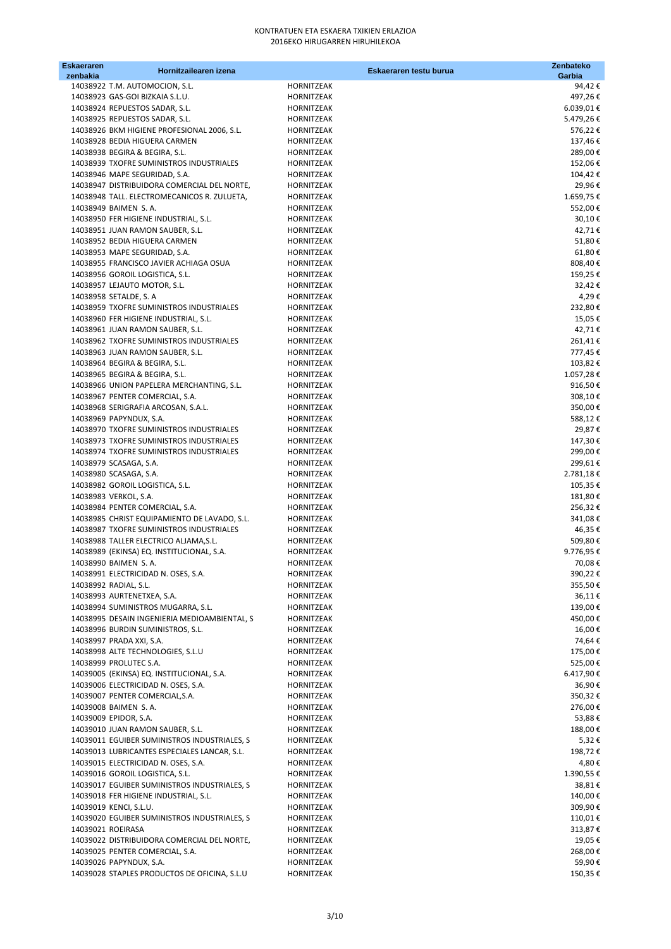| <b>Eskaeraren</b><br>zenbakia | Hornitzailearen izena                                                                |                          | Eskaeraren testu burua | Zenbateko<br>Garbia |
|-------------------------------|--------------------------------------------------------------------------------------|--------------------------|------------------------|---------------------|
|                               | 14038922 T.M. AUTOMOCION, S.L.                                                       | HORNITZEAK               |                        | 94,42€              |
|                               | 14038923 GAS-GOI BIZKAIA S.L.U.                                                      | HORNITZEAK               |                        | 497,26€             |
|                               | 14038924 REPUESTOS SADAR, S.L.                                                       | HORNITZEAK               |                        | $6.039,01 \in$      |
|                               | 14038925 REPUESTOS SADAR, S.L.                                                       | HORNITZEAK               |                        | 5.479,26€           |
|                               | 14038926 BKM HIGIENE PROFESIONAL 2006, S.L.                                          | HORNITZEAK               |                        | 576,22€             |
|                               | 14038928 BEDIA HIGUERA CARMEN                                                        | HORNITZEAK               |                        | 137,46€             |
|                               | 14038938 BEGIRA & BEGIRA, S.L.<br>14038939 TXOFRE SUMINISTROS INDUSTRIALES           | HORNITZEAK<br>HORNITZEAK |                        | 289,00€<br>152,06€  |
|                               | 14038946 MAPE SEGURIDAD, S.A.                                                        | HORNITZEAK               |                        | 104,42€             |
|                               | 14038947 DISTRIBUIDORA COMERCIAL DEL NORTE,                                          | HORNITZEAK               |                        | 29,96€              |
|                               | 14038948 TALL. ELECTROMECANICOS R. ZULUETA,                                          | HORNITZEAK               |                        | 1.659,75€           |
|                               | 14038949 BAIMEN S.A.                                                                 | HORNITZEAK               |                        | 552,00€             |
|                               | 14038950 FER HIGIENE INDUSTRIAL, S.L.                                                | HORNITZEAK               |                        | 30,10€              |
|                               | 14038951 JUAN RAMON SAUBER, S.L.                                                     | HORNITZEAK               |                        | 42,71€              |
|                               | 14038952 BEDIA HIGUERA CARMEN                                                        | HORNITZEAK               |                        | 51,80€              |
|                               | 14038953 MAPE SEGURIDAD, S.A.                                                        | HORNITZEAK               |                        | 61,80€              |
|                               | 14038955 FRANCISCO JAVIER ACHIAGA OSUA                                               | HORNITZEAK               |                        | 808,40€             |
|                               | 14038956 GOROIL LOGISTICA, S.L.                                                      | HORNITZEAK               |                        | 159,25€             |
|                               | 14038957 LEJAUTO MOTOR, S.L.                                                         | HORNITZEAK               |                        | 32,42€<br>4,29€     |
|                               | 14038958 SETALDE, S. A<br>14038959 TXOFRE SUMINISTROS INDUSTRIALES                   | HORNITZEAK<br>HORNITZEAK |                        | 232,80€             |
|                               | 14038960 FER HIGIENE INDUSTRIAL, S.L.                                                | HORNITZEAK               |                        | 15,05€              |
|                               | 14038961 JUAN RAMON SAUBER, S.L.                                                     | HORNITZEAK               |                        | 42,71€              |
|                               | 14038962 TXOFRE SUMINISTROS INDUSTRIALES                                             | HORNITZEAK               |                        | 261,41€             |
|                               | 14038963 JUAN RAMON SAUBER, S.L.                                                     | HORNITZEAK               |                        | 777,45€             |
|                               | 14038964 BEGIRA & BEGIRA, S.L.                                                       | HORNITZEAK               |                        | 103,82€             |
|                               | 14038965 BEGIRA & BEGIRA, S.L.                                                       | HORNITZEAK               |                        | 1.057,28€           |
|                               | 14038966 UNION PAPELERA MERCHANTING, S.L.                                            | HORNITZEAK               |                        | 916,50€             |
|                               | 14038967 PENTER COMERCIAL, S.A.                                                      | HORNITZEAK               |                        | 308,10€             |
|                               | 14038968 SERIGRAFIA ARCOSAN, S.A.L.                                                  | HORNITZEAK               |                        | 350,00€             |
|                               | 14038969 PAPYNDUX, S.A.                                                              | HORNITZEAK               |                        | 588,12€             |
|                               | 14038970 TXOFRE SUMINISTROS INDUSTRIALES                                             | HORNITZEAK               |                        | 29,87€              |
|                               | 14038973 TXOFRE SUMINISTROS INDUSTRIALES<br>14038974 TXOFRE SUMINISTROS INDUSTRIALES | HORNITZEAK<br>HORNITZEAK |                        | 147,30€<br>299,00€  |
|                               | 14038979 SCASAGA, S.A.                                                               | HORNITZEAK               |                        | 299,61€             |
|                               | 14038980 SCASAGA, S.A.                                                               | HORNITZEAK               |                        | 2.781,18€           |
|                               | 14038982 GOROIL LOGISTICA, S.L.                                                      | HORNITZEAK               |                        | 105,35€             |
|                               | 14038983 VERKOL, S.A.                                                                | HORNITZEAK               |                        | 181,80€             |
|                               | 14038984 PENTER COMERCIAL, S.A.                                                      | HORNITZEAK               |                        | 256,32€             |
|                               | 14038985 CHRIST EQUIPAMIENTO DE LAVADO, S.L.                                         | HORNITZEAK               |                        | 341,08€             |
|                               | 14038987 TXOFRE SUMINISTROS INDUSTRIALES                                             | HORNITZEAK               |                        | 46,35€              |
|                               | 14038988 TALLER ELECTRICO ALJAMA, S.L.                                               | HORNITZEAK               |                        | 509,80€             |
|                               | 14038989 (EKINSA) EQ. INSTITUCIONAL, S.A.                                            | HORNITZEAK               |                        | 9.776,95€           |
|                               | 14038990 BAIMEN S.A.                                                                 | <b>HORNITZEAK</b>        |                        | 70,08€              |
|                               | 14038991 ELECTRICIDAD N. OSES, S.A.                                                  | HORNITZEAK               |                        | 390,22€             |
|                               | 14038992 RADIAL, S.L.<br>14038993 AURTENETXEA, S.A.                                  | HORNITZEAK<br>HORNITZEAK |                        | 355,50€<br>36,11€   |
|                               | 14038994 SUMINISTROS MUGARRA, S.L.                                                   | HORNITZEAK               |                        | 139,00€             |
|                               | 14038995 DESAIN INGENIERIA MEDIOAMBIENTAL, S                                         | HORNITZEAK               |                        | 450,00€             |
|                               | 14038996 BURDIN SUMINISTROS, S.L.                                                    | HORNITZEAK               |                        | 16,00€              |
|                               | 14038997 PRADA XXI, S.A.                                                             | HORNITZEAK               |                        | 74,64€              |
|                               | 14038998 ALTE TECHNOLOGIES, S.L.U                                                    | HORNITZEAK               |                        | 175,00€             |
|                               | 14038999 PROLUTEC S.A.                                                               | HORNITZEAK               |                        | 525,00€             |
|                               | 14039005 (EKINSA) EQ. INSTITUCIONAL, S.A.                                            | HORNITZEAK               |                        | 6.417,90€           |
|                               | 14039006 ELECTRICIDAD N. OSES, S.A.                                                  | HORNITZEAK               |                        | 36,90€              |
|                               | 14039007 PENTER COMERCIAL, S.A.                                                      | HORNITZEAK               |                        | 350,32€             |
|                               | 14039008 BAIMEN S.A.                                                                 | HORNITZEAK               |                        | 276,00€             |
|                               | 14039009 EPIDOR, S.A.                                                                | HORNITZEAK               |                        | 53,88€              |
|                               | 14039010 JUAN RAMON SAUBER, S.L.<br>14039011 EGUIBER SUMINISTROS INDUSTRIALES, S     | HORNITZEAK<br>HORNITZEAK |                        | 188,00€<br>5,32€    |
|                               | 14039013 LUBRICANTES ESPECIALES LANCAR, S.L.                                         | HORNITZEAK               |                        | 198,72€             |
|                               | 14039015 ELECTRICIDAD N. OSES, S.A.                                                  | HORNITZEAK               |                        | 4,80 €              |
|                               | 14039016 GOROIL LOGISTICA, S.L.                                                      | HORNITZEAK               |                        | 1.390,55€           |
|                               | 14039017 EGUIBER SUMINISTROS INDUSTRIALES, S                                         | HORNITZEAK               |                        | 38,81€              |
|                               | 14039018 FER HIGIENE INDUSTRIAL, S.L.                                                | HORNITZEAK               |                        | 140,00€             |
|                               | 14039019 KENCI, S.L.U.                                                               | HORNITZEAK               |                        | 309,90€             |
|                               | 14039020 EGUIBER SUMINISTROS INDUSTRIALES, S                                         | HORNITZEAK               |                        | 110,01€             |
| 14039021 ROEIRASA             |                                                                                      | HORNITZEAK               |                        | 313,87€             |
|                               | 14039022 DISTRIBUIDORA COMERCIAL DEL NORTE,                                          | HORNITZEAK               |                        | 19,05 €             |
|                               | 14039025 PENTER COMERCIAL, S.A.                                                      | HORNITZEAK               |                        | 268,00€             |
|                               | 14039026 PAPYNDUX, S.A.                                                              | HORNITZEAK               |                        | 59,90€              |
|                               | 14039028 STAPLES PRODUCTOS DE OFICINA, S.L.U                                         | HORNITZEAK               |                        | 150,35 €            |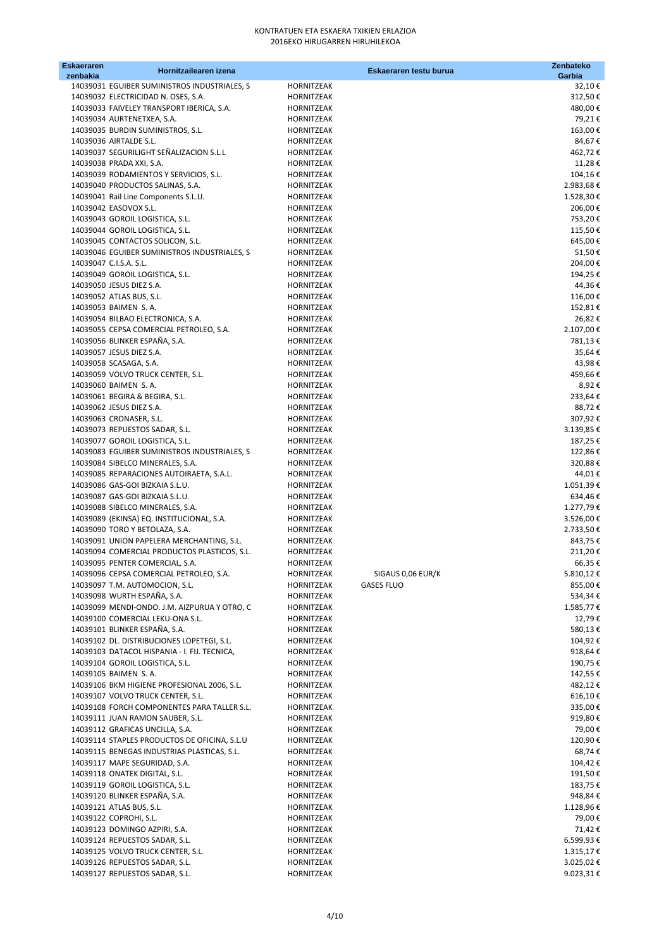| <b>Eskaeraren</b><br>zenbakia | Hornitzailearen izena                                                            |                                 | Eskaeraren testu burua | Zenbateko<br>Garbia    |
|-------------------------------|----------------------------------------------------------------------------------|---------------------------------|------------------------|------------------------|
|                               | 14039031 EGUIBER SUMINISTROS INDUSTRIALES, S                                     | HORNITZEAK                      |                        | 32,10€                 |
|                               | 14039032 ELECTRICIDAD N. OSES, S.A.                                              | HORNITZEAK                      |                        | 312,50€                |
|                               | 14039033 FAIVELEY TRANSPORT IBERICA, S.A.                                        | HORNITZEAK                      |                        | 480,00€                |
|                               | 14039034 AURTENETXEA, S.A.                                                       | HORNITZEAK                      |                        | 79,21€                 |
|                               | 14039035 BURDIN SUMINISTROS, S.L.                                                | <b>HORNITZEAK</b>               |                        | 163,00€                |
|                               | 14039036 AIRTALDE S.L.                                                           | <b>HORNITZEAK</b>               |                        | 84,67€                 |
|                               | 14039037 SEGURILIGHT SEÑALIZACION S.L.L                                          | HORNITZEAK                      |                        | 462,72€                |
|                               | 14039038 PRADA XXI, S.A.                                                         | HORNITZEAK                      |                        | 11,28€                 |
|                               | 14039039 RODAMIENTOS Y SERVICIOS, S.L.<br>14039040 PRODUCTOS SALINAS, S.A.       | HORNITZEAK<br>HORNITZEAK        |                        | 104,16€<br>2.983,68€   |
|                               | 14039041 Rail Line Components S.L.U.                                             | HORNITZEAK                      |                        | 1.528,30€              |
|                               | 14039042 EASOVOX S.L.                                                            | <b>HORNITZEAK</b>               |                        | 206,00€                |
|                               | 14039043 GOROIL LOGISTICA, S.L.                                                  | <b>HORNITZEAK</b>               |                        | 753,20€                |
|                               | 14039044 GOROIL LOGISTICA, S.L.                                                  | HORNITZEAK                      |                        | 115,50€                |
|                               | 14039045 CONTACTOS SOLICON, S.L.                                                 | HORNITZEAK                      |                        | 645,00€                |
|                               | 14039046 EGUIBER SUMINISTROS INDUSTRIALES, S                                     | HORNITZEAK                      |                        | 51,50€                 |
|                               | 14039047 C.I.S.A. S.L.                                                           | HORNITZEAK                      |                        | 204,00€                |
|                               | 14039049 GOROIL LOGISTICA, S.L.                                                  | HORNITZEAK                      |                        | 194,25€                |
|                               | 14039050 JESUS DIEZ S.A.                                                         | HORNITZEAK                      |                        | 44,36€                 |
|                               | 14039052 ATLAS BUS, S.L.                                                         | <b>HORNITZEAK</b>               |                        | 116,00€                |
|                               | 14039053 BAIMEN S.A.                                                             | HORNITZEAK                      |                        | 152,81€                |
|                               | 14039054 BILBAO ELECTRONICA, S.A.<br>14039055 CEPSA COMERCIAL PETROLEO, S.A.     | HORNITZEAK<br><b>HORNITZEAK</b> |                        | 26,82€<br>2.107,00€    |
|                               | 14039056 BLINKER ESPAÑA, S.A.                                                    | HORNITZEAK                      |                        | 781,13€                |
|                               | 14039057 JESUS DIEZ S.A.                                                         | HORNITZEAK                      |                        | 35,64€                 |
|                               | 14039058 SCASAGA, S.A.                                                           | HORNITZEAK                      |                        | 43,98€                 |
|                               | 14039059 VOLVO TRUCK CENTER, S.L.                                                | HORNITZEAK                      |                        | 459,66€                |
|                               | 14039060 BAIMEN S.A.                                                             | HORNITZEAK                      |                        | 8,92€                  |
|                               | 14039061 BEGIRA & BEGIRA, S.L.                                                   | HORNITZEAK                      |                        | 233,64€                |
|                               | 14039062 JESUS DIEZ S.A.                                                         | HORNITZEAK                      |                        | 88,72€                 |
|                               | 14039063 CRONASER, S.L.                                                          | HORNITZEAK                      |                        | 307,92€                |
|                               | 14039073 REPUESTOS SADAR, S.L.                                                   | HORNITZEAK                      |                        | 3.139,85€              |
|                               | 14039077 GOROIL LOGISTICA, S.L.                                                  | HORNITZEAK                      |                        | 187,25 €               |
|                               | 14039083 EGUIBER SUMINISTROS INDUSTRIALES, S<br>14039084 SIBELCO MINERALES, S.A. | HORNITZEAK                      |                        | 122,86€                |
|                               | 14039085 REPARACIONES AUTOIRAETA, S.A.L.                                         | HORNITZEAK<br>HORNITZEAK        |                        | 320,88€<br>44,01€      |
|                               | 14039086 GAS-GOI BIZKAIA S.L.U.                                                  | HORNITZEAK                      |                        | 1.051,39€              |
|                               | 14039087 GAS-GOI BIZKAIA S.L.U.                                                  | HORNITZEAK                      |                        | 634,46€                |
|                               | 14039088 SIBELCO MINERALES, S.A.                                                 | HORNITZEAK                      |                        | 1.277,79€              |
|                               | 14039089 (EKINSA) EQ. INSTITUCIONAL, S.A.                                        | HORNITZEAK                      |                        | 3.526,00 €             |
|                               | 14039090 TORO Y BETOLAZA, S.A.                                                   | HORNITZEAK                      |                        | 2.733,50€              |
|                               | 14039091 UNION PAPELERA MERCHANTING, S.L.                                        | HORNITZEAK                      |                        | 843,75€                |
|                               | 14039094 COMERCIAL PRODUCTOS PLASTICOS, S.L.                                     | HORNITZEAK                      |                        | 211,20€                |
|                               | 14039095 PENTER COMERCIAL, S.A.                                                  | HORNITZEAK                      |                        | 66,35€                 |
|                               | 14039096 CEPSA COMERCIAL PETROLEO, S.A.                                          | HORNITZEAK                      | SIGAUS 0,06 EUR/K      | 5.810,12€              |
|                               | 14039097 T.M. AUTOMOCION, S.L.<br>14039098 WURTH ESPAÑA, S.A.                    | HORNITZEAK<br>HORNITZEAK        | <b>GASES FLUO</b>      | 855,00€<br>534,34€     |
|                               | 14039099 MENDI-ONDO. J.M. AIZPURUA Y OTRO, C                                     | HORNITZEAK                      |                        | 1.585,77 €             |
|                               | 14039100 COMERCIAL LEKU-ONA S.L.                                                 | HORNITZEAK                      |                        | 12,79€                 |
|                               | 14039101 BLINKER ESPAÑA, S.A.                                                    | HORNITZEAK                      |                        | 580,13€                |
|                               | 14039102 DL. DISTRIBUCIONES LOPETEGI, S.L.                                       | HORNITZEAK                      |                        | 104,92€                |
|                               | 14039103 DATACOL HISPANIA - I. FIJ. TECNICA,                                     | HORNITZEAK                      |                        | 918,64€                |
|                               | 14039104 GOROIL LOGISTICA, S.L.                                                  | HORNITZEAK                      |                        | 190,75€                |
|                               | 14039105 BAIMEN S.A.                                                             | HORNITZEAK                      |                        | 142,55€                |
|                               | 14039106 BKM HIGIENE PROFESIONAL 2006, S.L.                                      | HORNITZEAK                      |                        | 482,12€                |
|                               | 14039107 VOLVO TRUCK CENTER, S.L.                                                | HORNITZEAK                      |                        | 616,10€                |
|                               | 14039108 FORCH COMPONENTES PARA TALLER S.L.                                      | HORNITZEAK                      |                        | 335,00€                |
|                               | 14039111 JUAN RAMON SAUBER, S.L.                                                 | HORNITZEAK                      |                        | 919,80€                |
|                               | 14039112 GRAFICAS UNCILLA, S.A.<br>14039114 STAPLES PRODUCTOS DE OFICINA, S.L.U  | HORNITZEAK<br>HORNITZEAK        |                        | 79,00€<br>120,90€      |
|                               | 14039115 BENEGAS INDUSTRIAS PLASTICAS, S.L.                                      | HORNITZEAK                      |                        | 68,74€                 |
|                               | 14039117 MAPE SEGURIDAD, S.A.                                                    | HORNITZEAK                      |                        | 104,42€                |
|                               | 14039118 ONATEK DIGITAL, S.L.                                                    | HORNITZEAK                      |                        | 191,50€                |
|                               | 14039119 GOROIL LOGISTICA, S.L.                                                  | HORNITZEAK                      |                        | 183,75€                |
|                               | 14039120 BLINKER ESPAÑA, S.A.                                                    | HORNITZEAK                      |                        | 948,84€                |
|                               | 14039121 ATLAS BUS, S.L.                                                         | HORNITZEAK                      |                        | 1.128,96€              |
|                               | 14039122 COPROHI, S.L.                                                           | HORNITZEAK                      |                        | 79,00€                 |
|                               | 14039123 DOMINGO AZPIRI, S.A.                                                    | HORNITZEAK                      |                        | 71,42€                 |
|                               | 14039124 REPUESTOS SADAR, S.L.                                                   | HORNITZEAK                      |                        | 6.599,93€              |
|                               | 14039125 VOLVO TRUCK CENTER, S.L.                                                | HORNITZEAK                      |                        | 1.315,17€              |
|                               | 14039126 REPUESTOS SADAR, S.L.<br>14039127 REPUESTOS SADAR, S.L.                 | HORNITZEAK<br>HORNITZEAK        |                        | 3.025,02€<br>9.023,31€ |
|                               |                                                                                  |                                 |                        |                        |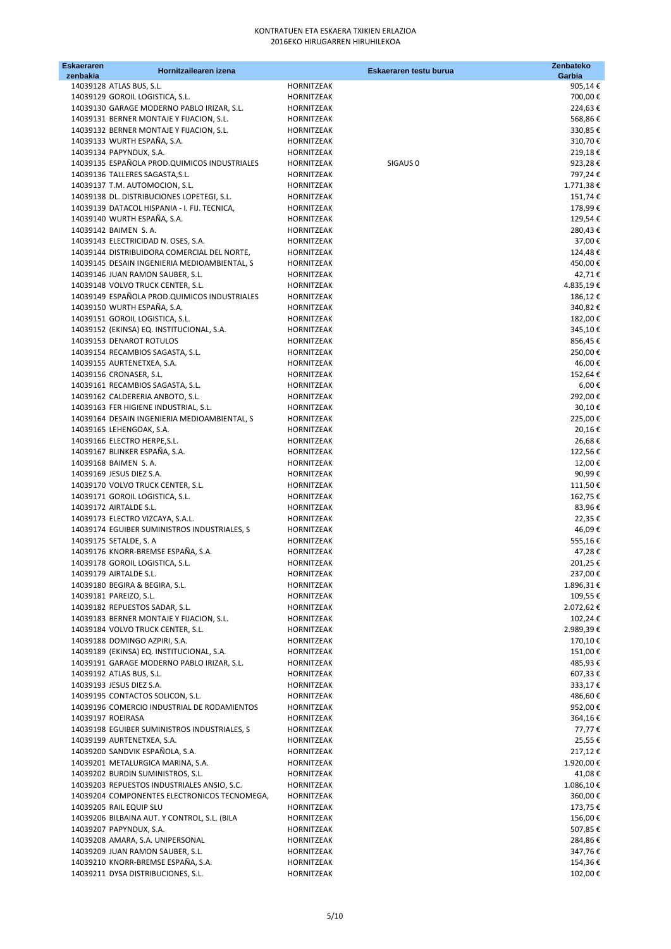| Eskaeraren<br>zenbakia | Hornitzailearen izena                                                           |                          | Eskaeraren testu burua | Zenbateko<br>Garbia   |
|------------------------|---------------------------------------------------------------------------------|--------------------------|------------------------|-----------------------|
|                        | 14039128 ATLAS BUS, S.L.                                                        | HORNITZEAK               |                        | 905,14€               |
|                        | 14039129 GOROIL LOGISTICA, S.L.                                                 | HORNITZEAK               |                        | 700,00€               |
|                        | 14039130 GARAGE MODERNO PABLO IRIZAR, S.L.                                      | HORNITZEAK               |                        | 224,63€               |
|                        | 14039131 BERNER MONTAJE Y FIJACION, S.L.                                        | HORNITZEAK               |                        | 568,86€               |
|                        | 14039132 BERNER MONTAJE Y FIJACION, S.L.                                        | HORNITZEAK               |                        | 330,85€               |
|                        | 14039133 WURTH ESPAÑA, S.A.                                                     | HORNITZEAK               |                        | 310,70€               |
|                        | 14039134 PAPYNDUX, S.A.                                                         | HORNITZEAK               |                        | 219,18€               |
|                        | 14039135 ESPAÑOLA PROD.QUIMICOS INDUSTRIALES<br>14039136 TALLERES SAGASTA, S.L. | HORNITZEAK<br>HORNITZEAK | SIGAUS <sub>0</sub>    | 923,28€<br>797,24€    |
|                        | 14039137 T.M. AUTOMOCION, S.L.                                                  | HORNITZEAK               |                        | 1.771,38€             |
|                        | 14039138 DL. DISTRIBUCIONES LOPETEGI, S.L.                                      | HORNITZEAK               |                        | 151,74€               |
|                        | 14039139 DATACOL HISPANIA - I. FIJ. TECNICA,                                    | HORNITZEAK               |                        | 178,99€               |
|                        | 14039140 WURTH ESPAÑA, S.A.                                                     | HORNITZEAK               |                        | 129,54€               |
|                        | 14039142 BAIMEN S.A.                                                            | HORNITZEAK               |                        | 280,43€               |
|                        | 14039143 ELECTRICIDAD N. OSES, S.A.                                             | HORNITZEAK               |                        | 37,00€                |
|                        | 14039144 DISTRIBUIDORA COMERCIAL DEL NORTE,                                     | HORNITZEAK               |                        | 124,48€               |
|                        | 14039145 DESAIN INGENIERIA MEDIOAMBIENTAL, S                                    | HORNITZEAK               |                        | 450,00€               |
|                        | 14039146 JUAN RAMON SAUBER, S.L.                                                | HORNITZEAK               |                        | 42,71€                |
|                        | 14039148 VOLVO TRUCK CENTER, S.L.                                               | HORNITZEAK               |                        | 4.835,19€             |
|                        | 14039149 ESPAÑOLA PROD.QUIMICOS INDUSTRIALES<br>14039150 WURTH ESPAÑA, S.A.     | HORNITZEAK               |                        | 186,12€               |
|                        | 14039151 GOROIL LOGISTICA, S.L.                                                 | HORNITZEAK<br>HORNITZEAK |                        | 340,82€<br>182,00€    |
|                        | 14039152 (EKINSA) EQ. INSTITUCIONAL, S.A.                                       | HORNITZEAK               |                        | 345,10€               |
|                        | 14039153 DENAROT ROTULOS                                                        | HORNITZEAK               |                        | 856,45€               |
|                        | 14039154 RECAMBIOS SAGASTA, S.L.                                                | HORNITZEAK               |                        | 250,00€               |
|                        | 14039155 AURTENETXEA, S.A.                                                      | HORNITZEAK               |                        | 46,00€                |
|                        | 14039156 CRONASER, S.L.                                                         | HORNITZEAK               |                        | 152,64€               |
|                        | 14039161 RECAMBIOS SAGASTA, S.L.                                                | HORNITZEAK               |                        | 6,00€                 |
|                        | 14039162 CALDERERIA ANBOTO, S.L.                                                | HORNITZEAK               |                        | 292,00€               |
|                        | 14039163 FER HIGIENE INDUSTRIAL, S.L.                                           | HORNITZEAK               |                        | 30,10€                |
|                        | 14039164 DESAIN INGENIERIA MEDIOAMBIENTAL, S                                    | HORNITZEAK               |                        | 225,00€               |
|                        | 14039165 LEHENGOAK, S.A.                                                        | HORNITZEAK               |                        | 20,16€                |
|                        | 14039166 ELECTRO HERPE, S.L.                                                    | HORNITZEAK               |                        | 26,68€                |
|                        | 14039167 BLINKER ESPAÑA, S.A.<br>14039168 BAIMEN S.A.                           | HORNITZEAK<br>HORNITZEAK |                        | 122,56€<br>12,00€     |
|                        | 14039169 JESUS DIEZ S.A.                                                        | HORNITZEAK               |                        | 90,99€                |
|                        | 14039170 VOLVO TRUCK CENTER, S.L.                                               | HORNITZEAK               |                        | 111,50€               |
|                        | 14039171 GOROIL LOGISTICA, S.L.                                                 | HORNITZEAK               |                        | 162,75€               |
|                        | 14039172 AIRTALDE S.L.                                                          | <b>HORNITZEAK</b>        |                        | 83,96€                |
|                        | 14039173 ELECTRO VIZCAYA, S.A.L.                                                | <b>HORNITZEAK</b>        |                        | 22,35€                |
|                        | 14039174 EGUIBER SUMINISTROS INDUSTRIALES, S                                    | HORNITZEAK               |                        | 46,09€                |
|                        | 14039175 SETALDE, S. A                                                          | <b>HORNITZEAK</b>        |                        | 555,16€               |
|                        | 14039176 KNORR-BREMSE ESPAÑA, S.A.                                              | <b>HORNITZEAK</b>        |                        | 47,28€                |
|                        | 14039178 GOROIL LOGISTICA, S.L.                                                 | HORNITZEAK               |                        | 201,25€               |
|                        | 14039179 AIRTALDE S.L.                                                          | HORNITZEAK               |                        | 237,00€               |
|                        | 14039180 BEGIRA & BEGIRA, S.L.<br>14039181 PAREIZO, S.L.                        | HORNITZEAK<br>HORNITZEAK |                        | 1.896,31€<br>109,55 € |
|                        | 14039182 REPUESTOS SADAR, S.L.                                                  | HORNITZEAK               |                        | 2.072,62 €            |
|                        | 14039183 BERNER MONTAJE Y FIJACION, S.L.                                        | HORNITZEAK               |                        | 102,24€               |
|                        | 14039184 VOLVO TRUCK CENTER, S.L.                                               | HORNITZEAK               |                        | 2.989,39€             |
|                        | 14039188 DOMINGO AZPIRI, S.A.                                                   | HORNITZEAK               |                        | 170,10€               |
|                        | 14039189 (EKINSA) EQ. INSTITUCIONAL, S.A.                                       | HORNITZEAK               |                        | 151,00€               |
|                        | 14039191 GARAGE MODERNO PABLO IRIZAR, S.L.                                      | HORNITZEAK               |                        | 485,93€               |
|                        | 14039192 ATLAS BUS, S.L.                                                        | HORNITZEAK               |                        | 607,33€               |
|                        | 14039193 JESUS DIEZ S.A.                                                        | HORNITZEAK               |                        | 333,17€               |
|                        | 14039195 CONTACTOS SOLICON, S.L.                                                | HORNITZEAK               |                        | 486,60€               |
|                        | 14039196 COMERCIO INDUSTRIAL DE RODAMIENTOS                                     | HORNITZEAK               |                        | 952,00€               |
| 14039197 ROEIRASA      |                                                                                 | HORNITZEAK               |                        | 364,16€               |
|                        | 14039198 EGUIBER SUMINISTROS INDUSTRIALES, S<br>14039199 AURTENETXEA, S.A.      | HORNITZEAK<br>HORNITZEAK |                        | 77,77 €<br>25,55€     |
|                        | 14039200 SANDVIK ESPAÑOLA, S.A.                                                 | HORNITZEAK               |                        | 217,12€               |
|                        | 14039201 METALURGICA MARINA, S.A.                                               | HORNITZEAK               |                        | 1.920,00 €            |
|                        | 14039202 BURDIN SUMINISTROS, S.L.                                               | HORNITZEAK               |                        | 41,08€                |
|                        | 14039203 REPUESTOS INDUSTRIALES ANSIO, S.C.                                     | HORNITZEAK               |                        | 1.086,10€             |
|                        | 14039204 COMPONENTES ELECTRONICOS TECNOMEGA,                                    | HORNITZEAK               |                        | 360,00€               |
|                        | 14039205 RAIL EQUIP SLU                                                         | HORNITZEAK               |                        | 173,75€               |
|                        | 14039206 BILBAINA AUT. Y CONTROL, S.L. (BILA                                    | HORNITZEAK               |                        | 156,00€               |
|                        | 14039207 PAPYNDUX, S.A.                                                         | HORNITZEAK               |                        | 507,85€               |
|                        | 14039208 AMARA, S.A. UNIPERSONAL                                                | HORNITZEAK               |                        | 284,86€               |
|                        | 14039209 JUAN RAMON SAUBER, S.L.                                                | HORNITZEAK               |                        | 347,76€               |
|                        | 14039210 KNORR-BREMSE ESPAÑA, S.A.                                              | HORNITZEAK               |                        | 154,36€               |
|                        | 14039211 DYSA DISTRIBUCIONES, S.L.                                              | HORNITZEAK               |                        | 102,00€               |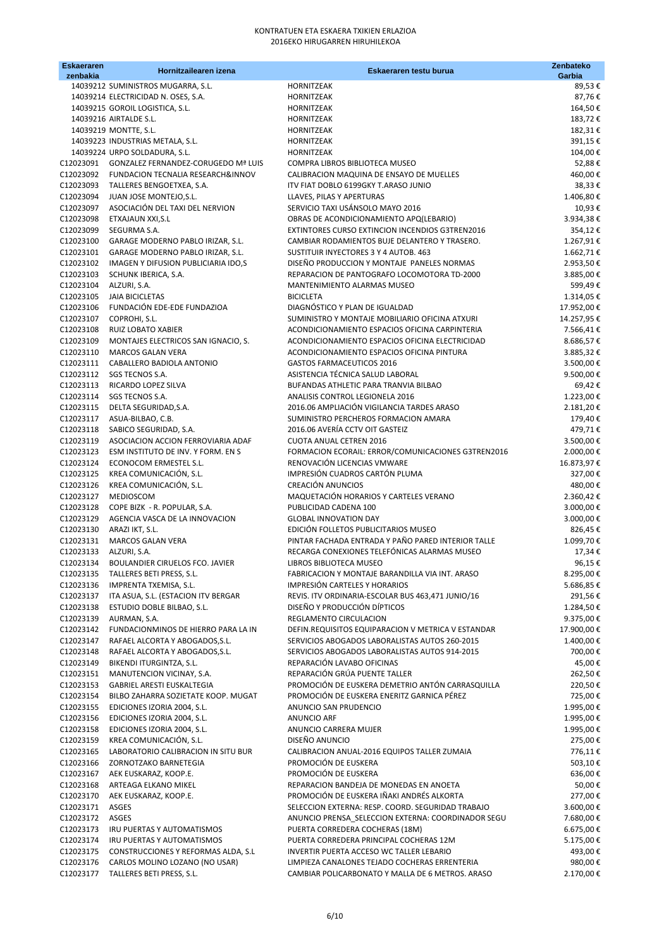| <b>Eskaeraren</b><br>zenbakia | Hornitzailearen izena                                                    | Eskaeraren testu burua                                                                                  | Zenbateko<br>Garbia      |
|-------------------------------|--------------------------------------------------------------------------|---------------------------------------------------------------------------------------------------------|--------------------------|
|                               | 14039212 SUMINISTROS MUGARRA, S.L.                                       | HORNITZEAK                                                                                              | 89,53€                   |
|                               | 14039214 ELECTRICIDAD N. OSES, S.A.                                      | HORNITZEAK                                                                                              | 87,76€                   |
|                               | 14039215 GOROIL LOGISTICA, S.L.<br>14039216 AIRTALDE S.L.                | HORNITZEAK<br><b>HORNITZEAK</b>                                                                         | 164,50€<br>183,72€       |
|                               | 14039219 MONTTE, S.L.                                                    | HORNITZEAK                                                                                              | 182,31€                  |
|                               | 14039223 INDUSTRIAS METALA, S.L.                                         | <b>HORNITZEAK</b>                                                                                       | 391,15€                  |
|                               | 14039224 URPO SOLDADURA, S.L.                                            | <b>HORNITZEAK</b>                                                                                       | 104,00€                  |
|                               | C12023091 GONZALEZ FERNANDEZ-CORUGEDO Mª LUIS                            | COMPRA LIBROS BIBLIOTECA MUSEO                                                                          | 52,88€                   |
|                               | C12023092 FUNDACION TECNALIA RESEARCH&INNOV                              | CALIBRACION MAQUINA DE ENSAYO DE MUELLES<br>ITV FIAT DOBLO 6199GKY T.ARASO JUNIO                        | 460,00€<br>38,33€        |
| C12023094                     | C12023093 TALLERES BENGOETXEA, S.A.<br>JUAN JOSE MONTEJO, S.L.           | LLAVES, PILAS Y APERTURAS                                                                               | 1.406,80€                |
| C12023097                     | ASOCIACIÓN DEL TAXI DEL NERVION                                          | SERVICIO TAXI USÁNSOLO MAYO 2016                                                                        | 10,93€                   |
| C12023098                     | ETXAJAUN XXI,S.L                                                         | OBRAS DE ACONDICIONAMIENTO APQ(LEBARIO)                                                                 | 3.934,38€                |
| C12023099                     | SEGURMA S.A.                                                             | EXTINTORES CURSO EXTINCION INCENDIOS G3TREN2016                                                         | 354,12€                  |
| C12023100<br>C12023101        | GARAGE MODERNO PABLO IRIZAR, S.L.<br>GARAGE MODERNO PABLO IRIZAR, S.L.   | CAMBIAR RODAMIENTOS BUJE DELANTERO Y TRASERO.<br>SUSTITUIR INYECTORES 3 Y 4 AUTOB. 463                  | 1.267,91€<br>1.662,71€   |
| C12023102                     | IMAGEN Y DIFUSION PUBLICIARIA IDO,S                                      | DISEÑO PRODUCCION Y MONTAJE PANELES NORMAS                                                              | 2.953,50€                |
| C12023103                     | SCHUNK IBERICA, S.A.                                                     | REPARACION DE PANTOGRAFO LOCOMOTORA TD-2000                                                             | 3.885,00€                |
| C12023104                     | ALZURI, S.A.                                                             | MANTENIMIENTO ALARMAS MUSEO                                                                             | 599,49€                  |
| C12023105                     | <b>JAIA BICICLETAS</b>                                                   | <b>BICICLETA</b>                                                                                        | 1.314,05€                |
| C12023106<br>C12023107        | FUNDACIÓN EDE-EDE FUNDAZIOA<br>COPROHI, S.L.                             | DIAGNÓSTICO Y PLAN DE IGUALDAD<br>SUMINISTRO Y MONTAJE MOBILIARIO OFICINA ATXURI                        | 17.952,00€<br>14.257,95€ |
| C12023108                     | RUIZ LOBATO XABIER                                                       | ACONDICIONAMIENTO ESPACIOS OFICINA CARPINTERIA                                                          | 7.566,41€                |
| C12023109                     | MONTAJES ELECTRICOS SAN IGNACIO, S.                                      | ACONDICIONAMIENTO ESPACIOS OFICINA ELECTRICIDAD                                                         | 8.686,57€                |
| C12023110                     | <b>MARCOS GALAN VERA</b>                                                 | ACONDICIONAMIENTO ESPACIOS OFICINA PINTURA                                                              | 3.885,32€                |
| C12023111                     | CABALLERO BADIOLA ANTONIO                                                | <b>GASTOS FARMACEUTICOS 2016</b>                                                                        | 3.500,00€                |
| C12023113                     | C12023112 SGS TECNOS S.A.<br>RICARDO LOPEZ SILVA                         | ASISTENCIA TÉCNICA SALUD LABORAL<br>BUFANDAS ATHLETIC PARA TRANVIA BILBAO                               | 9.500,00€<br>69,42€      |
|                               | C12023114 SGS TECNOS S.A.                                                | ANALISIS CONTROL LEGIONELA 2016                                                                         | 1.223,00€                |
|                               | C12023115 DELTA SEGURIDAD, S.A.                                          | 2016.06 AMPLIACIÓN VIGILANCIA TARDES ARASO                                                              | 2.181,20€                |
| C12023117                     | ASUA-BILBAO, C.B.                                                        | SUMINISTRO PERCHEROS FORMACION AMARA                                                                    | 179,40€                  |
| C12023118                     | SABICO SEGURIDAD, S.A.                                                   | 2016.06 AVERÍA CCTV OIT GASTEIZ                                                                         | 479,71€                  |
| C12023119<br>C12023123        | ASOCIACION ACCION FERROVIARIA ADAF<br>ESM INSTITUTO DE INV. Y FORM. EN S | <b>CUOTA ANUAL CETREN 2016</b><br>FORMACION ECORAIL: ERROR/COMUNICACIONES G3TREN2016                    | 3.500,00€<br>2.000,00€   |
| C12023124                     | ECONOCOM ERMESTEL S.L.                                                   | RENOVACIÓN LICENCIAS VMWARE                                                                             | 16.873,97€               |
| C12023125                     | KREA COMUNICACIÓN, S.L.                                                  | IMPRESIÓN CUADROS CARTÓN PLUMA                                                                          | 327,00€                  |
| C12023126                     | KREA COMUNICACIÓN, S.L.                                                  | CREACIÓN ANUNCIOS                                                                                       | 480,00€                  |
| C12023127                     | MEDIOSCOM                                                                | MAQUETACIÓN HORARIOS Y CARTELES VERANO<br>PUBLICIDAD CADENA 100                                         | 2.360,42€<br>3.000,00€   |
| C12023128<br>C12023129        | COPE BIZK - R. POPULAR, S.A.<br>AGENCIA VASCA DE LA INNOVACION           | <b>GLOBAL INNOVATION DAY</b>                                                                            | 3.000,00€                |
| C12023130                     | ARAZI IKT, S.L.                                                          | EDICIÓN FOLLETOS PUBLICITARIOS MUSEO                                                                    | 826,45€                  |
| C12023131                     | <b>MARCOS GALAN VERA</b>                                                 | PINTAR FACHADA ENTRADA Y PAÑO PARED INTERIOR TALLE                                                      | 1.099,70€                |
| C12023133                     | ALZURI, S.A.                                                             | RECARGA CONEXIONES TELEFÓNICAS ALARMAS MUSEO                                                            | 17,34€                   |
| C12023134<br>C12023135        | BOULANDIER CIRUELOS FCO. JAVIER<br>TALLERES BETI PRESS, S.L.             | LIBROS BIBLIOTECA MUSEO<br>FABRICACION Y MONTAJE BARANDILLA VIA INT. ARASO                              | 96,15€<br>8.295,00€      |
| C12023136                     | IMPRENTA TXEMISA, S.L.                                                   | IMPRESIÓN CARTELES Y HORARIOS                                                                           | 5.686,85€                |
| C12023137                     | ITA ASUA, S.L. (ESTACION ITV BERGAR                                      | REVIS. ITV ORDINARIA-ESCOLAR BUS 463,471 JUNIO/16                                                       | 291,56€                  |
| C12023138                     | ESTUDIO DOBLE BILBAO, S.L.                                               | DISEÑO Y PRODUCCIÓN DÍPTICOS                                                                            | 1.284,50€                |
| C12023139<br>C12023142        | AURMAN, S.A.<br>FUNDACIONMINOS DE HIERRO PARA LA IN                      | REGLAMENTO CIRCULACION<br>DEFIN.REQUISITOS EQUIPARACION V METRICA V ESTANDAR                            | 9.375,00€<br>17.900,00€  |
| C12023147                     | RAFAEL ALCORTA Y ABOGADOS, S.L.                                          | SERVICIOS ABOGADOS LABORALISTAS AUTOS 260-2015                                                          | 1.400,00€                |
| C12023148                     | RAFAEL ALCORTA Y ABOGADOS, S.L.                                          | SERVICIOS ABOGADOS LABORALISTAS AUTOS 914-2015                                                          | 700,00€                  |
| C12023149                     | BIKENDI ITURGINTZA, S.L.                                                 | REPARACIÓN LAVABO OFICINAS                                                                              | 45,00€                   |
| C12023151                     | MANUTENCION VICINAY, S.A.                                                | REPARACIÓN GRÚA PUENTE TALLER                                                                           | 262,50€                  |
| C12023153<br>C12023154        | GABRIEL ARESTI EUSKALTEGIA<br>BILBO ZAHARRA SOZIETATE KOOP. MUGAT        | PROMOCIÓN DE EUSKERA DEMETRIO ANTÓN CARRASQUILLA<br>PROMOCIÓN DE EUSKERA ENERITZ GARNICA PÉREZ          | 220,50€<br>725,00€       |
| C12023155                     | EDICIONES IZORIA 2004, S.L.                                              | ANUNCIO SAN PRUDENCIO                                                                                   | 1.995,00€                |
| C12023156                     | EDICIONES IZORIA 2004, S.L.                                              | <b>ANUNCIO ARF</b>                                                                                      | 1.995,00€                |
| C12023158                     | EDICIONES IZORIA 2004, S.L.                                              | ANUNCIO CARRERA MUJER                                                                                   | 1.995,00€                |
| C12023159                     | KREA COMUNICACIÓN, S.L.                                                  | DISEÑO ANUNCIO                                                                                          | 275,00€                  |
| C12023165<br>C12023166        | LABORATORIO CALIBRACION IN SITU BUR<br>ZORNOTZAKO BARNETEGIA             | CALIBRACION ANUAL-2016 EQUIPOS TALLER ZUMAIA<br>PROMOCIÓN DE EUSKERA                                    | 776,11€<br>503,10€       |
| C12023167                     | AEK EUSKARAZ, KOOP.E.                                                    | PROMOCIÓN DE EUSKERA                                                                                    | 636,00€                  |
| C12023168                     | ARTEAGA ELKANO MIKEL                                                     | REPARACION BANDEJA DE MONEDAS EN ANOETA                                                                 | 50,00€                   |
| C12023170                     | AEK EUSKARAZ, KOOP.E.                                                    | PROMOCIÓN DE EUSKERA IÑAKI ANDRÉS ALKORTA                                                               | 277,00€                  |
| C12023171<br>C12023172        | ASGES<br>ASGES                                                           | SELECCION EXTERNA: RESP. COORD. SEGURIDAD TRABAJO<br>ANUNCIO PRENSA_SELECCION EXTERNA: COORDINADOR SEGU | 3.600,00€<br>7.680,00 €  |
| C12023173                     | IRU PUERTAS Y AUTOMATISMOS                                               | PUERTA CORREDERA COCHERAS (18M)                                                                         | 6.675,00€                |
| C12023174                     | IRU PUERTAS Y AUTOMATISMOS                                               | PUERTA CORREDERA PRINCIPAL COCHERAS 12M                                                                 | 5.175,00€                |
| C12023175                     | CONSTRUCCIONES Y REFORMAS ALDA, S.L.                                     | INVERTIR PUERTA ACCESO WC TALLER LEBARIO                                                                | 493,00€                  |
| C12023176                     | CARLOS MOLINO LOZANO (NO USAR)                                           | LIMPIEZA CANALONES TEJADO COCHERAS ERRENTERIA                                                           | 980,00€                  |
| C12023177                     | TALLERES BETI PRESS, S.L.                                                | CAMBIAR POLICARBONATO Y MALLA DE 6 METROS. ARASO                                                        | 2.170,00€                |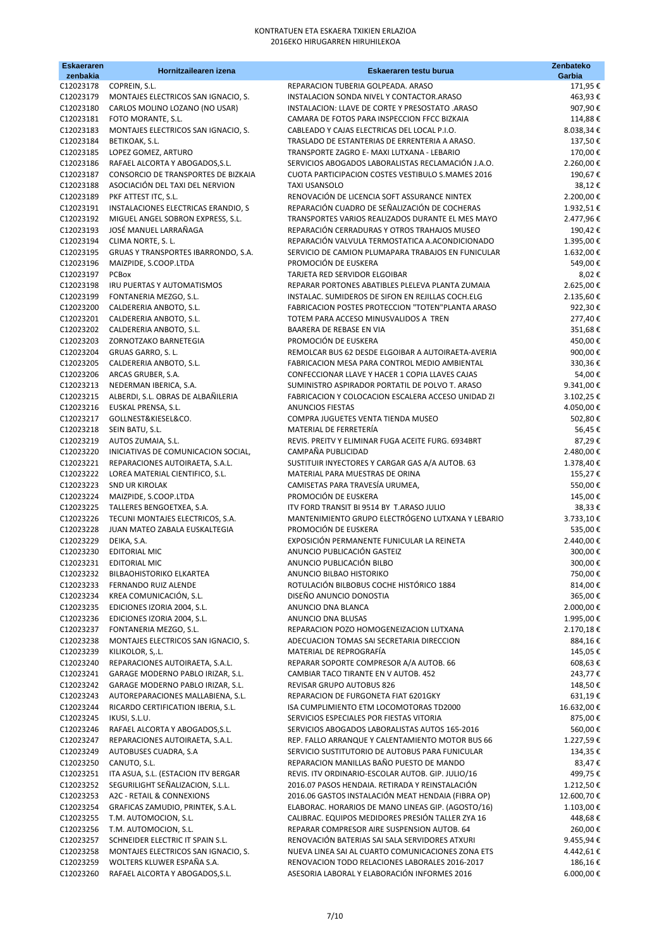| <b>Eskaeraren</b><br>zenbakia | Hornitzailearen izena                                                   | Eskaeraren testu burua                                                                               | Zenbateko<br>Garbia    |
|-------------------------------|-------------------------------------------------------------------------|------------------------------------------------------------------------------------------------------|------------------------|
| C12023178                     | COPREIN, S.L.                                                           | REPARACION TUBERIA GOLPEADA. ARASO                                                                   | 171,95€                |
| C12023179                     | MONTAJES ELECTRICOS SAN IGNACIO, S.                                     | INSTALACION SONDA NIVEL Y CONTACTOR.ARASO                                                            | 463,93€                |
| C12023180                     | CARLOS MOLINO LOZANO (NO USAR)                                          | INSTALACION: LLAVE DE CORTE Y PRESOSTATO .ARASO                                                      | 907,90€                |
| C12023181                     | FOTO MORANTE, S.L.                                                      | CAMARA DE FOTOS PARA INSPECCION FFCC BIZKAIA                                                         | 114,88€                |
| C12023183<br>C12023184        | MONTAJES ELECTRICOS SAN IGNACIO, S.                                     | CABLEADO Y CAJAS ELECTRICAS DEL LOCAL P.I.O.<br>TRASLADO DE ESTANTERIAS DE ERRENTERIA A ARASO.       | 8.038,34€              |
| C12023185                     | BETIKOAK, S.L.<br>LOPEZ GOMEZ, ARTURO                                   | TRANSPORTE ZAGRO E- MAXI LUTXANA - LEBARIO                                                           | 137,50€<br>170,00€     |
| C12023186                     | RAFAEL ALCORTA Y ABOGADOS, S.L.                                         | SERVICIOS ABOGADOS LABORALISTAS RECLAMACIÓN J.A.O.                                                   | 2.260,00€              |
| C12023187                     | CONSORCIO DE TRANSPORTES DE BIZKAIA                                     | CUOTA PARTICIPACION COSTES VESTIBULO S.MAMES 2016                                                    | 190,67€                |
| C12023188                     | ASOCIACIÓN DEL TAXI DEL NERVION                                         | <b>TAXI USANSOLO</b>                                                                                 | 38,12€                 |
| C12023189                     | PKF ATTEST ITC, S.L.                                                    | RENOVACIÓN DE LICENCIA SOFT ASSURANCE NINTEX                                                         | 2.200,00€              |
| C12023191                     | INSTALACIONES ELECTRICAS ERANDIO, S                                     | REPARACIÓN CUADRO DE SEÑALIZACIÓN DE COCHERAS                                                        | 1.932,51€              |
| C12023192                     | MIGUEL ANGEL SOBRON EXPRESS, S.L.                                       | TRANSPORTES VARIOS REALIZADOS DURANTE EL MES MAYO                                                    | 2.477,96€              |
| C12023193<br>C12023194        | JOSÉ MANUEL LARRAÑAGA<br>CLIMA NORTE, S. L.                             | REPARACIÓN CERRADURAS Y OTROS TRAHAJOS MUSEO<br>REPARACIÓN VALVULA TERMOSTATICA A.ACONDICIONADO      | 190,42€<br>1.395,00€   |
| C12023195                     | GRUAS Y TRANSPORTES IBARRONDO, S.A.                                     | SERVICIO DE CAMION PLUMAPARA TRABAJOS EN FUNICULAR                                                   | 1.632,00€              |
| C12023196                     | MAIZPIDE, S.COOP.LTDA                                                   | PROMOCIÓN DE EUSKERA                                                                                 | 549,00€                |
| C12023197                     | PCBox                                                                   | TARJETA RED SERVIDOR ELGOIBAR                                                                        | 8,02€                  |
| C12023198                     | IRU PUERTAS Y AUTOMATISMOS                                              | REPARAR PORTONES ABATIBLES PLELEVA PLANTA ZUMAIA                                                     | 2.625,00€              |
| C12023199                     | FONTANERIA MEZGO, S.L.                                                  | INSTALAC. SUMIDEROS DE SIFON EN REJILLAS COCH.ELG                                                    | 2.135,60€              |
| C12023200<br>C12023201        | CALDERERIA ANBOTO, S.L.<br>CALDERERIA ANBOTO, S.L.                      | FABRICACION POSTES PROTECCION "TOTEN"PLANTA ARASO<br>TOTEM PARA ACCESO MINUSVALIDOS A TREN           | 922,30€<br>277,40€     |
| C12023202                     | CALDERERIA ANBOTO, S.L.                                                 | BAARERA DE REBASE EN VIA                                                                             | 351,68€                |
| C12023203                     | ZORNOTZAKO BARNETEGIA                                                   | PROMOCIÓN DE EUSKERA                                                                                 | 450,00€                |
| C12023204                     | GRUAS GARRO, S. L.                                                      | REMOLCAR BUS 62 DESDE ELGOIBAR A AUTOIRAETA-AVERIA                                                   | 900,00€                |
| C12023205                     | CALDERERIA ANBOTO, S.L.                                                 | FABRICACION MESA PARA CONTROL MEDIO AMBIENTAL                                                        | 330,36€                |
| C12023206                     | ARCAS GRUBER, S.A.                                                      | CONFECCIONAR LLAVE Y HACER 1 COPIA LLAVES CAJAS                                                      | 54,00€                 |
| C12023213                     | NEDERMAN IBERICA, S.A.                                                  | SUMINISTRO ASPIRADOR PORTATIL DE POLVO T. ARASO                                                      | 9.341,00€              |
| C12023215<br>C12023216        | ALBERDI, S.L. OBRAS DE ALBAÑILERIA<br>EUSKAL PRENSA, S.L.               | FABRICACION Y COLOCACION ESCALERA ACCESO UNIDAD ZI<br>ANUNCIOS FIESTAS                               | 3.102,25€<br>4.050,00€ |
| C12023217                     | GOLLNEST&KIESEL&CO.                                                     | COMPRA JUGUETES VENTA TIENDA MUSEO                                                                   | 502,80€                |
| C12023218                     | SEIN BATU, S.L.                                                         | MATERIAL DE FERRETERÍA                                                                               | 56,45€                 |
| C12023219                     | AUTOS ZUMAIA, S.L.                                                      | REVIS. PREITV Y ELIMINAR FUGA ACEITE FURG. 6934BRT                                                   | 87,29€                 |
| C12023220                     | INICIATIVAS DE COMUNICACION SOCIAL,                                     | CAMPAÑA PUBLICIDAD                                                                                   | 2.480,00€              |
| C12023221                     | REPARACIONES AUTOIRAETA, S.A.L.                                         | SUSTITUIR INYECTORES Y CARGAR GAS A/A AUTOB. 63                                                      | 1.378,40€              |
| C12023222<br>C12023223        | LOREA MATERIAL CIENTIFICO, S.L.<br><b>SND UR KIROLAK</b>                | MATERIAL PARA MUESTRAS DE ORINA<br>CAMISETAS PARA TRAVESÍA URUMEA,                                   | 155,27€<br>550,00€     |
| C12023224                     | MAIZPIDE, S.COOP.LTDA                                                   | PROMOCIÓN DE EUSKERA                                                                                 | 145,00€                |
| C12023225                     | TALLERES BENGOETXEA, S.A.                                               | ITV FORD TRANSIT BI 9514 BY T.ARASO JULIO                                                            | 38,33€                 |
| C12023226                     | TECUNI MONTAJES ELECTRICOS, S.A.                                        | MANTENIMIENTO GRUPO ELECTRÓGENO LUTXANA Y LEBARIO                                                    | 3.733,10€              |
| C12023228                     | JUAN MATEO ZABALA EUSKALTEGIA                                           | PROMOCIÓN DE EUSKERA                                                                                 | 535,00€                |
| C12023229<br>C12023230        | DEIKA, S.A.<br><b>EDITORIAL MIC</b>                                     | EXPOSICIÓN PERMANENTE FUNICULAR LA REINETA<br>ANUNCIO PUBLICACIÓN GASTEIZ                            | 2.440,00€<br>300,00€   |
| C12023231                     | <b>EDITORIAL MIC</b>                                                    | ANUNCIO PUBLICACIÓN BILBO                                                                            | 300,00€                |
| C12023232                     | BILBAOHISTORIKO ELKARTEA                                                | ANUNCIO BILBAO HISTORIKO                                                                             | 750,00€                |
| C12023233                     | FERNANDO RUIZ ALENDE                                                    | ROTULACIÓN BILBOBUS COCHE HISTÓRICO 1884                                                             | 814,00€                |
| C12023234                     | KREA COMUNICACIÓN, S.L.                                                 | DISEÑO ANUNCIO DONOSTIA                                                                              | 365,00€                |
| C12023235                     | EDICIONES IZORIA 2004, S.L.                                             | ANUNCIO DNA BLANCA                                                                                   | 2.000,00€              |
| C12023236<br>C12023237        | EDICIONES IZORIA 2004, S.L.<br>FONTANERIA MEZGO, S.L.                   | ANUNCIO DNA BLUSAS<br>REPARACION POZO HOMOGENEIZACION LUTXANA                                        | 1.995,00€              |
| C12023238                     | MONTAJES ELECTRICOS SAN IGNACIO, S.                                     | ADECUACION TOMAS SAI SECRETARIA DIRECCION                                                            | 2.170,18€<br>884,16€   |
| C12023239                     | KILIKOLOR, S,.L.                                                        | MATERIAL DE REPROGRAFÍA                                                                              | 145,05€                |
| C12023240                     | REPARACIONES AUTOIRAETA, S.A.L.                                         | REPARAR SOPORTE COMPRESOR A/A AUTOB. 66                                                              | 608,63€                |
| C12023241                     | GARAGE MODERNO PABLO IRIZAR, S.L.                                       | CAMBIAR TACO TIRANTE EN V AUTOB. 452                                                                 | 243,77€                |
| C12023242                     | GARAGE MODERNO PABLO IRIZAR, S.L.                                       | REVISAR GRUPO AUTOBUS 826                                                                            | 148,50€                |
| C12023243<br>C12023244        | AUTOREPARACIONES MALLABIENA, S.L.                                       | REPARACION DE FURGONETA FIAT 6201GKY                                                                 | 631,19€                |
| C12023245                     | RICARDO CERTIFICATION IBERIA, S.L.<br>IKUSI, S.L.U.                     | ISA CUMPLIMIENTO ETM LOCOMOTORAS TD2000<br>SERVICIOS ESPECIALES POR FIESTAS VITORIA                  | 16.632,00€<br>875,00€  |
| C12023246                     | RAFAEL ALCORTA Y ABOGADOS, S.L.                                         | SERVICIOS ABOGADOS LABORALISTAS AUTOS 165-2016                                                       | 560,00€                |
| C12023247                     | REPARACIONES AUTOIRAETA, S.A.L.                                         | REP. FALLO ARRANQUE Y CALENTAMIENTO MOTOR BUS 66                                                     | 1.227,59€              |
| C12023249                     | AUTOBUSES CUADRA, S.A                                                   | SERVICIO SUSTITUTORIO DE AUTOBUS PARA FUNICULAR                                                      | 134,35€                |
| C12023250                     | CANUTO, S.L.                                                            | REPARACION MANILLAS BAÑO PUESTO DE MANDO                                                             | 83,47€                 |
| C12023251<br>C12023252        | ITA ASUA, S.L. (ESTACION ITV BERGAR<br>SEGURILIGHT SEÑALIZACION, S.L.L. | REVIS. ITV ORDINARIO-ESCOLAR AUTOB. GIP. JULIO/16<br>2016.07 PASOS HENDAIA. RETIRADA Y REINSTALACIÓN | 499,75€<br>1.212,50€   |
| C12023253                     | A2C - RETAIL & CONNEXIONS                                               | 2016.06 GASTOS INSTALACIÓN MEAT HENDAIA (FIBRA OP)                                                   | 12.600,70€             |
| C12023254                     | GRAFICAS ZAMUDIO, PRINTEK, S.A.L.                                       | ELABORAC. HORARIOS DE MANO LINEAS GIP. (AGOSTO/16)                                                   | 1.103,00€              |
| C12023255                     | T.M. AUTOMOCION, S.L.                                                   | CALIBRAC. EQUIPOS MEDIDORES PRESIÓN TALLER ZYA 16                                                    | 448,68€                |
| C12023256                     | T.M. AUTOMOCION, S.L.                                                   | REPARAR COMPRESOR AIRE SUSPENSION AUTOB. 64                                                          | 260,00€                |
| C12023257                     | SCHNEIDER ELECTRIC IT SPAIN S.L.                                        | RENOVACIÓN BATERIAS SAI SALA SERVIDORES ATXURI                                                       | 9.455,94€              |
| C12023258                     | MONTAJES ELECTRICOS SAN IGNACIO, S.                                     | NUEVA LINEA SAI AL CUARTO COMUNICACIONES ZONA ETS                                                    | 4.442,61€              |
| C12023259<br>C12023260        | WOLTERS KLUWER ESPAÑA S.A.<br>RAFAEL ALCORTA Y ABOGADOS, S.L.           | RENOVACION TODO RELACIONES LABORALES 2016-2017<br>ASESORIA LABORAL Y ELABORACIÓN INFORMES 2016       | 186,16€<br>6.000,00€   |
|                               |                                                                         |                                                                                                      |                        |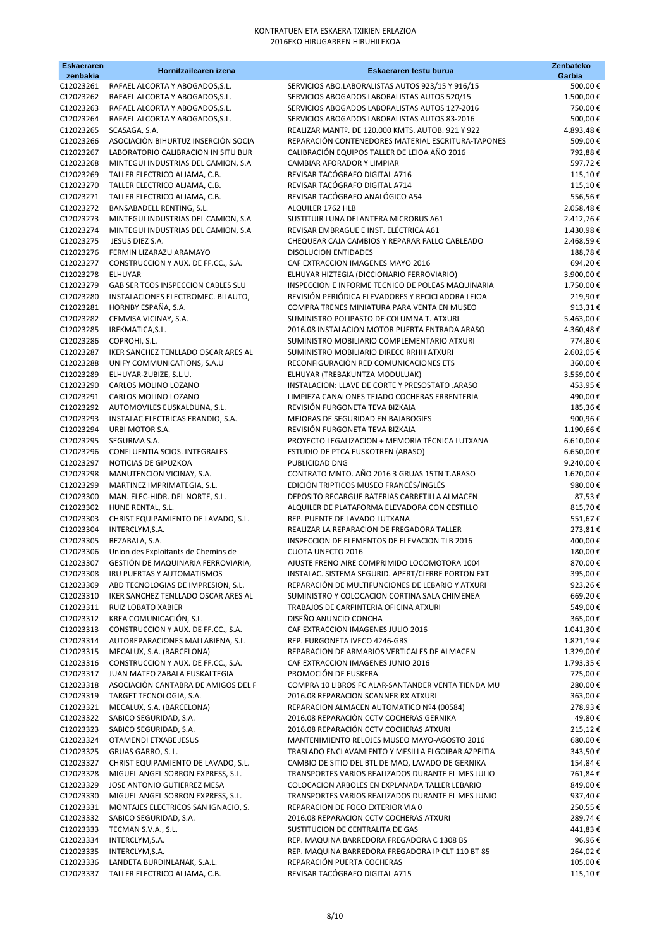| <b>Eskaeraren</b><br>zenbakia | Hornitzailearen izena                                                      | Eskaeraren testu burua                                                                             | Zenbateko<br>Garbia         |
|-------------------------------|----------------------------------------------------------------------------|----------------------------------------------------------------------------------------------------|-----------------------------|
| C12023261                     | RAFAEL ALCORTA Y ABOGADOS, S.L.                                            | SERVICIOS ABO.LABORALISTAS AUTOS 923/15 Y 916/15                                                   | 500,00€                     |
| C12023262                     | RAFAEL ALCORTA Y ABOGADOS, S.L.                                            | SERVICIOS ABOGADOS LABORALISTAS AUTOS 520/15                                                       | 1.500,00€                   |
| C12023263                     | RAFAEL ALCORTA Y ABOGADOS, S.L.                                            | SERVICIOS ABOGADOS LABORALISTAS AUTOS 127-2016                                                     | 750,00€                     |
| C12023264                     | RAFAEL ALCORTA Y ABOGADOS, S.L.                                            | SERVICIOS ABOGADOS LABORALISTAS AUTOS 83-2016                                                      | 500,00€                     |
| C12023265                     | SCASAGA, S.A.                                                              | REALIZAR MANTº. DE 120.000 KMTS. AUTOB. 921 Y 922                                                  | 4.893,48€                   |
| C12023266<br>C12023267        | ASOCIACIÓN BIHURTUZ INSERCIÓN SOCIA<br>LABORATORIO CALIBRACION IN SITU BUR | REPARACIÓN CONTENEDORES MATERIAL ESCRITURA-TAPONES<br>CALIBRACIÓN EQUIPOS TALLER DE LEIOA AÑO 2016 | 509,00€<br>792,88€          |
| C12023268                     | MINTEGUI INDUSTRIAS DEL CAMION, S.A                                        | CAMBIAR AFORADOR Y LIMPIAR                                                                         | 597,72€                     |
| C12023269                     | TALLER ELECTRICO ALJAMA, C.B.                                              | REVISAR TACÓGRAFO DIGITAL A716                                                                     | 115,10€                     |
| C12023270                     | TALLER ELECTRICO ALJAMA, C.B.                                              | REVISAR TACÓGRAFO DIGITAL A714                                                                     | 115,10€                     |
| C12023271                     | TALLER ELECTRICO ALJAMA, C.B.                                              | REVISAR TACÓGRAFO ANALÓGICO A54                                                                    | 556,56€                     |
| C12023272                     | BANSABADELL RENTING, S.L.                                                  | ALQUILER 1762 HLB                                                                                  | 2.058,48€                   |
| C12023273                     | MINTEGUI INDUSTRIAS DEL CAMION, S.A.                                       | SUSTITUIR LUNA DELANTERA MICROBUS A61                                                              | 2.412,76€                   |
| C12023274                     | MINTEGUI INDUSTRIAS DEL CAMION, S.A                                        | REVISAR EMBRAGUE E INST. ELÉCTRICA A61                                                             | 1.430,98€                   |
| C12023275<br>C12023276        | JESUS DIEZ S.A.<br>FERMIN LIZARAZU ARAMAYO                                 | CHEQUEAR CAJA CAMBIOS Y REPARAR FALLO CABLEADO<br><b>DISOLUCION ENTIDADES</b>                      | 2.468,59€<br>188,78€        |
| C12023277                     | CONSTRUCCION Y AUX. DE FF.CC., S.A.                                        | CAF EXTRACCION IMAGENES MAYO 2016                                                                  | 694,20€                     |
| C12023278                     | <b>ELHUYAR</b>                                                             | ELHUYAR HIZTEGIA (DICCIONARIO FERROVIARIO)                                                         | 3.900,00€                   |
| C12023279                     | GAB SER TCOS INSPECCION CABLES SLU                                         | INSPECCION E INFORME TECNICO DE POLEAS MAQUINARIA                                                  | 1.750,00€                   |
| C12023280                     | INSTALACIONES ELECTROMEC. BILAUTO,                                         | REVISIÓN PERIÓDICA ELEVADORES Y RECICLADORA LEIOA                                                  | 219,90€                     |
| C12023281                     | HORNBY ESPAÑA, S.A.                                                        | COMPRA TRENES MINIATURA PARA VENTA EN MUSEO                                                        | 913,31€                     |
| C12023282                     | CEMVISA VICINAY, S.A.                                                      | SUMINISTRO POLIPASTO DE COLUMNA T. ATXURI                                                          | 5.463,00€                   |
| C12023285                     | IREKMATICA, S.L.                                                           | 2016.08 INSTALACION MOTOR PUERTA ENTRADA ARASO                                                     | 4.360,48€                   |
| C12023286<br>C12023287        | COPROHI, S.L.<br>IKER SANCHEZ TENLLADO OSCAR ARES AL                       | SUMINISTRO MOBILIARIO COMPLEMENTARIO ATXURI<br>SUMINISTRO MOBILIARIO DIRECC RRHH ATXURI            | 774,80€<br>2.602,05€        |
| C12023288                     | UNIFY COMMUNICATIONS, S.A.U                                                | RECONFIGURACIÓN RED COMUNICACIONES ETS                                                             | 360,00€                     |
| C12023289                     | ELHUYAR-ZUBIZE, S.L.U.                                                     | ELHUYAR (TREBAKUNTZA MODULUAK)                                                                     | 3.559,00€                   |
| C12023290                     | CARLOS MOLINO LOZANO                                                       | INSTALACION: LLAVE DE CORTE Y PRESOSTATO .ARASO                                                    | 453,95€                     |
| C12023291                     | CARLOS MOLINO LOZANO                                                       | LIMPIEZA CANALONES TEJADO COCHERAS ERRENTERIA                                                      | 490,00€                     |
| C12023292                     | AUTOMOVILES EUSKALDUNA, S.L.                                               | REVISIÓN FURGONETA TEVA BIZKAIA                                                                    | 185,36€                     |
| C12023293                     | INSTALAC.ELECTRICAS ERANDIO, S.A.                                          | MEJORAS DE SEGURIDAD EN BAJABOGIES                                                                 | 900,96€                     |
| C12023294                     | URBI MOTOR S.A.                                                            | REVISIÓN FURGONETA TEVA BIZKAIA                                                                    | 1.190,66€                   |
| C12023295<br>C12023296        | SEGURMA S.A.<br>CONFLUENTIA SCIOS. INTEGRALES                              | PROYECTO LEGALIZACION + MEMORIA TÉCNICA LUTXANA<br>ESTUDIO DE PTCA EUSKOTREN (ARASO)               | $6.610,00 \in$<br>6.650,00€ |
| C12023297                     | NOTICIAS DE GIPUZKOA                                                       | PUBLICIDAD DNG                                                                                     | 9.240,00€                   |
| C12023298                     | MANUTENCION VICINAY, S.A.                                                  | CONTRATO MNTO. AÑO 2016 3 GRUAS 15TN T.ARASO                                                       | 1.620,00€                   |
| C12023299                     | MARTINEZ IMPRIMATEGIA, S.L.                                                | EDICIÓN TRIPTICOS MUSEO FRANCÉS/INGLÉS                                                             | 980,00€                     |
| C12023300                     | MAN. ELEC-HIDR. DEL NORTE, S.L.                                            | DEPOSITO RECARGUE BATERIAS CARRETILLA ALMACEN                                                      | 87,53€                      |
| C12023302                     | HUNE RENTAL, S.L.                                                          | ALQUILER DE PLATAFORMA ELEVADORA CON CESTILLO                                                      | 815,70€                     |
| C12023303                     | CHRIST EQUIPAMIENTO DE LAVADO, S.L.                                        | REP. PUENTE DE LAVADO LUTXANA                                                                      | 551,67€                     |
| C12023304<br>C12023305        | INTERCLYM, S.A.<br>BEZABALA, S.A.                                          | REALIZAR LA REPARACION DE FREGADORA TALLER<br>INSPECCION DE ELEMENTOS DE ELEVACION TLB 2016        | 273,81€<br>400,00€          |
| C12023306                     | Union des Exploitants de Chemins de                                        | <b>CUOTA UNECTO 2016</b>                                                                           | 180,00€                     |
| C12023307                     | GESTIÓN DE MAQUINARIA FERROVIARIA,                                         | AJUSTE FRENO AIRE COMPRIMIDO LOCOMOTORA 1004                                                       | 870,00€                     |
| C12023308                     | IRU PUERTAS Y AUTOMATISMOS                                                 | INSTALAC. SISTEMA SEGURID. APERT/CIERRE PORTON EXT                                                 | 395,00€                     |
| C12023309                     | ABD TECNOLOGIAS DE IMPRESION, S.L.                                         | REPARACIÓN DE MULTIFUNCIONES DE LEBARIO Y ATXURI                                                   | 923,26€                     |
| C12023310                     | IKER SANCHEZ TENLLADO OSCAR ARES AL                                        | SUMINISTRO Y COLOCACION CORTINA SALA CHIMENEA                                                      | 669,20€                     |
| C12023311                     | RUIZ LOBATO XABIER                                                         | TRABAJOS DE CARPINTERIA OFICINA ATXURI                                                             | 549,00€                     |
| C12023312<br>C12023313        | KREA COMUNICACIÓN, S.L.<br>CONSTRUCCION Y AUX. DE FF.CC., S.A.             | DISEÑO ANUNCIO CONCHA<br>CAF EXTRACCION IMAGENES JULIO 2016                                        | 365,00€<br>1.041,30€        |
| C12023314                     | AUTOREPARACIONES MALLABIENA, S.L.                                          | REP. FURGONETA IVECO 4246-GBS                                                                      | 1.821,19€                   |
| C12023315                     | MECALUX, S.A. (BARCELONA)                                                  | REPARACION DE ARMARIOS VERTICALES DE ALMACEN                                                       | 1.329,00€                   |
| C12023316                     | CONSTRUCCION Y AUX. DE FF.CC., S.A.                                        | CAF EXTRACCION IMAGENES JUNIO 2016                                                                 | 1.793,35€                   |
| C12023317                     | JUAN MATEO ZABALA EUSKALTEGIA                                              | PROMOCIÓN DE EUSKERA                                                                               | 725,00€                     |
| C12023318                     | ASOCIACIÓN CANTABRA DE AMIGOS DEL F                                        | COMPRA 10 LIBROS FC ALAR-SANTANDER VENTA TIENDA MU                                                 | 280,00€                     |
| C12023319                     | TARGET TECNOLOGIA, S.A.                                                    | 2016.08 REPARACION SCANNER RX ATXURI                                                               | 363,00€                     |
| C12023321                     | MECALUX, S.A. (BARCELONA)<br>SABICO SEGURIDAD, S.A.                        | REPARACION ALMACEN AUTOMATICO Nº4 (00584)<br>2016.08 REPARACIÓN CCTV COCHERAS GERNIKA              | 278,93€<br>49,80€           |
| C12023322<br>C12023323        | SABICO SEGURIDAD, S.A.                                                     | 2016.08 REPARACIÓN CCTV COCHERAS ATXURI                                                            | 215,12€                     |
| C12023324                     | OTAMENDI ETXABE JESUS                                                      | MANTENIMIENTO RELOJES MUSEO MAYO-AGOSTO 2016                                                       | 680,00€                     |
| C12023325                     | GRUAS GARRO, S. L.                                                         | TRASLADO ENCLAVAMIENTO Y MESILLA ELGOIBAR AZPEITIA                                                 | 343,50€                     |
| C12023327                     | CHRIST EQUIPAMIENTO DE LAVADO, S.L.                                        | CAMBIO DE SITIO DEL BTL DE MAQ. LAVADO DE GERNIKA                                                  | 154,84€                     |
| C12023328                     | MIGUEL ANGEL SOBRON EXPRESS, S.L.                                          | TRANSPORTES VARIOS REALIZADOS DURANTE EL MES JULIO                                                 | 761,84€                     |
| C12023329                     | JOSE ANTONIO GUTIERREZ MESA                                                | COLOCACION ARBOLES EN EXPLANADA TALLER LEBARIO                                                     | 849,00€                     |
| C12023330                     | MIGUEL ANGEL SOBRON EXPRESS, S.L.                                          | TRANSPORTES VARIOS REALIZADOS DURANTE EL MES JUNIO                                                 | 937,40€                     |
| C12023331<br>C12023332        | MONTAJES ELECTRICOS SAN IGNACIO, S.<br>SABICO SEGURIDAD, S.A.              | REPARACION DE FOCO EXTERIOR VIA 0<br>2016.08 REPARACION CCTV COCHERAS ATXURI                       | 250,55€<br>289,74€          |
| C12023333                     | TECMAN S.V.A., S.L.                                                        | SUSTITUCION DE CENTRALITA DE GAS                                                                   | 441,83 €                    |
| C12023334                     | INTERCLYM, S.A.                                                            | REP. MAQUINA BARREDORA FREGADORA C 1308 BS                                                         | 96,96€                      |
| C12023335                     | INTERCLYM, S.A.                                                            | REP. MAQUINA BARREDORA FREGADORA IP CLT 110 BT 85                                                  | 264,02€                     |
| C12023336                     | LANDETA BURDINLANAK, S.A.L.                                                | REPARACIÓN PUERTA COCHERAS                                                                         | 105,00€                     |
| C12023337                     | TALLER ELECTRICO ALJAMA, C.B.                                              | REVISAR TACÓGRAFO DIGITAL A715                                                                     | 115,10€                     |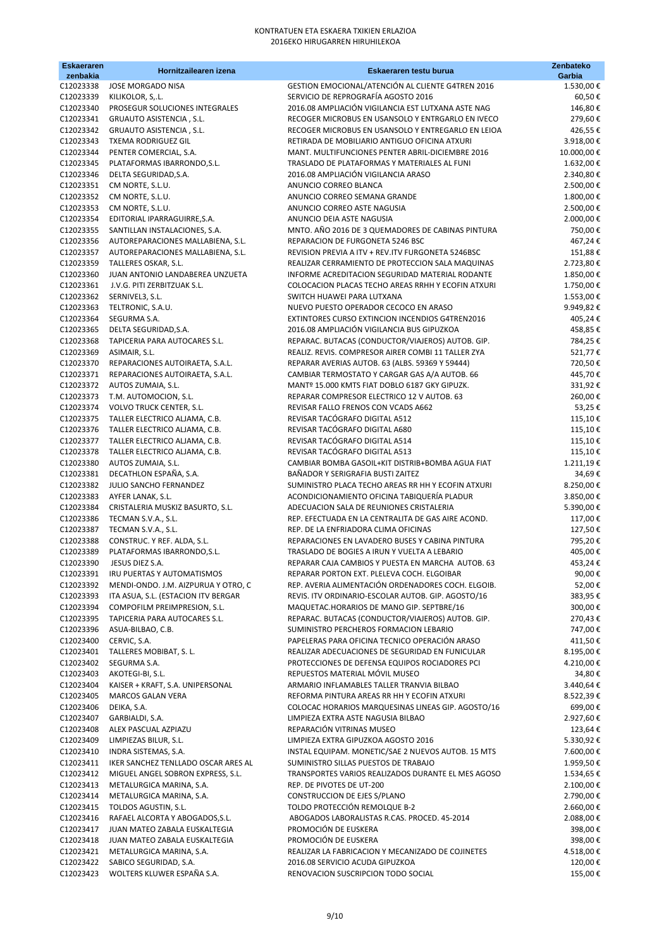| <b>Eskaeraren</b><br>zenbakia | Hornitzailearen izena                                                      | Eskaeraren testu burua                                                                                   | Zenbateko<br>Garbia     |
|-------------------------------|----------------------------------------------------------------------------|----------------------------------------------------------------------------------------------------------|-------------------------|
| C12023338                     | <b>JOSE MORGADO NISA</b>                                                   | GESTION EMOCIONAL/ATENCIÓN AL CLIENTE G4TREN 2016                                                        | 1.530,00€               |
| C12023339                     | KILIKOLOR, S,.L.                                                           | SERVICIO DE REPROGRAFÍA AGOSTO 2016                                                                      | 60,50€                  |
| C12023340                     | PROSEGUR SOLUCIONES INTEGRALES                                             | 2016.08 AMPLIACIÓN VIGILANCIA EST LUTXANA ASTE NAG                                                       | 146,80€                 |
| C12023341                     | GRUAUTO ASISTENCIA, S.L.                                                   | RECOGER MICROBUS EN USANSOLO Y ENTRGARLO EN IVECO                                                        | 279,60€                 |
| C12023342                     | GRUAUTO ASISTENCIA, S.L.                                                   | RECOGER MICROBUS EN USANSOLO Y ENTREGARLO EN LEIOA                                                       | 426,55€                 |
| C12023343<br>C12023344        | <b>TXEMA RODRIGUEZ GIL</b><br>PENTER COMERCIAL, S.A.                       | RETIRADA DE MOBILIARIO ANTIGUO OFICINA ATXURI<br>MANT. MULTIFUNCIONES PENTER ABRIL-DICIEMBRE 2016        | 3.918,00€<br>10.000,00€ |
| C12023345                     | PLATAFORMAS IBARRONDO, S.L.                                                | TRASLADO DE PLATAFORMAS Y MATERIALES AL FUNI                                                             | 1.632,00€               |
| C12023346                     | DELTA SEGURIDAD, S.A.                                                      | 2016.08 AMPLIACIÓN VIGILANCIA ARASO                                                                      | 2.340,80€               |
| C12023351                     | CM NORTE, S.L.U.                                                           | ANUNCIO CORREO BLANCA                                                                                    | 2.500,00€               |
| C12023352                     | CM NORTE, S.L.U.                                                           | ANUNCIO CORREO SEMANA GRANDE                                                                             | 1.800,00€               |
| C12023353                     | CM NORTE, S.L.U.                                                           | ANUNCIO CORREO ASTE NAGUSIA                                                                              | 2.500,00€               |
| C12023354                     | EDITORIAL IPARRAGUIRRE, S.A.                                               | ANUNCIO DEIA ASTE NAGUSIA                                                                                | 2.000,00€               |
| C12023355                     | SANTILLAN INSTALACIONES, S.A.                                              | MNTO. AÑO 2016 DE 3 QUEMADORES DE CABINAS PINTURA                                                        | 750,00€                 |
| C12023356                     | AUTOREPARACIONES MALLABIENA, S.L.                                          | REPARACION DE FURGONETA 5246 BSC                                                                         | 467,24€                 |
| C12023357<br>C12023359        | AUTOREPARACIONES MALLABIENA, S.L.<br>TALLERES OSKAR, S.L.                  | REVISION PREVIA A ITV + REV.ITV FURGONETA 5246BSC<br>REALIZAR CERRAMIENTO DE PROTECCION SALA MAQUINAS    | 151,88€<br>2.723,80€    |
| C12023360                     | JUAN ANTONIO LANDABEREA UNZUETA                                            | INFORME ACREDITACION SEGURIDAD MATERIAL RODANTE                                                          | 1.850,00€               |
| C12023361                     | J.V.G. PITI ZERBITZUAK S.L.                                                | COLOCACION PLACAS TECHO AREAS RRHH Y ECOFIN ATXURI                                                       | 1.750,00€               |
| C12023362                     | SERNIVEL3, S.L.                                                            | SWITCH HUAWEI PARA LUTXANA                                                                               | 1.553,00€               |
| C12023363                     | TELTRONIC, S.A.U.                                                          | NUEVO PUESTO OPERADOR CECOCO EN ARASO                                                                    | 9.949,82€               |
| C12023364                     | SEGURMA S.A.                                                               | EXTINTORES CURSO EXTINCION INCENDIOS G4TREN2016                                                          | 405,24€                 |
| C12023365                     | DELTA SEGURIDAD, S.A.                                                      | 2016.08 AMPLIACIÓN VIGILANCIA BUS GIPUZKOA                                                               | 458,85€                 |
| C12023368                     | TAPICERIA PARA AUTOCARES S.L.                                              | REPARAC. BUTACAS (CONDUCTOR/VIAJEROS) AUTOB. GIP.                                                        | 784,25€                 |
| C12023369                     | ASIMAIR, S.L.                                                              | REALIZ. REVIS. COMPRESOR AIRER COMBI 11 TALLER ZYA                                                       | 521,77€                 |
| C12023370                     | REPARACIONES AUTOIRAETA, S.A.L.                                            | REPARAR AVERIAS AUTOB. 63 (ALBS. 59369 Y 59444)                                                          | 720,50€                 |
| C12023371<br>C12023372        | REPARACIONES AUTOIRAETA, S.A.L.<br>AUTOS ZUMAIA, S.L.                      | CAMBIAR TERMOSTATO Y CARGAR GAS A/A AUTOB. 66<br>MANTº 15.000 KMTS FIAT DOBLO 6187 GKY GIPUZK.           | 445,70€<br>331,92€      |
| C12023373                     | T.M. AUTOMOCION, S.L.                                                      | REPARAR COMPRESOR ELECTRICO 12 V AUTOB. 63                                                               | 260,00€                 |
| C12023374                     | <b>VOLVO TRUCK CENTER, S.L.</b>                                            | REVISAR FALLO FRENOS CON VCADS A662                                                                      | 53,25€                  |
| C12023375                     | TALLER ELECTRICO ALJAMA, C.B.                                              | REVISAR TACÓGRAFO DIGITAL A512                                                                           | 115,10€                 |
| C12023376                     | TALLER ELECTRICO ALJAMA, C.B.                                              | REVISAR TACÓGRAFO DIGITAL A680                                                                           | 115,10€                 |
| C12023377                     | TALLER ELECTRICO ALJAMA, C.B.                                              | REVISAR TACÓGRAFO DIGITAL A514                                                                           | 115,10€                 |
| C12023378                     | TALLER ELECTRICO ALJAMA, C.B.                                              | REVISAR TACÓGRAFO DIGITAL A513                                                                           | 115,10€                 |
| C12023380                     | AUTOS ZUMAIA, S.L.                                                         | CAMBIAR BOMBA GASOIL+KIT DISTRIB+BOMBA AGUA FIAT                                                         | 1.211,19€               |
| C12023381<br>C12023382        | DECATHLON ESPAÑA, S.A.                                                     | BAÑADOR Y SERIGRAFIA BUSTI ZAITEZ<br>SUMINISTRO PLACA TECHO AREAS RR HH Y ECOFIN ATXURI                  | 34,69€<br>8.250,00€     |
| C12023383                     | JULIO SANCHO FERNANDEZ<br>AYFER LANAK, S.L.                                | ACONDICIONAMIENTO OFICINA TABIQUERÍA PLADUR                                                              | 3.850,00€               |
| C12023384                     | CRISTALERIA MUSKIZ BASURTO, S.L.                                           | ADECUACION SALA DE REUNIONES CRISTALERIA                                                                 | 5.390,00€               |
| C12023386                     | TECMAN S.V.A., S.L.                                                        | REP. EFECTUADA EN LA CENTRALITA DE GAS AIRE ACOND.                                                       | 117,00€                 |
| C12023387                     | TECMAN S.V.A., S.L.                                                        | REP. DE LA ENFRIADORA CLIMA OFICINAS                                                                     | 127,50€                 |
| C12023388                     | CONSTRUC. Y REF. ALDA, S.L.                                                | REPARACIONES EN LAVADERO BUSES Y CABINA PINTURA                                                          | 795,20€                 |
| C12023389                     | PLATAFORMAS IBARRONDO, S.L.                                                | TRASLADO DE BOGIES A IRUN Y VUELTA A LEBARIO                                                             | 405,00€                 |
| C12023390                     | JESUS DIEZ S.A.                                                            | REPARAR CAJA CAMBIOS Y PUESTA EN MARCHA AUTOB. 63                                                        | 453,24€                 |
| C12023391<br>C12023392        | IRU PUERTAS Y AUTOMATISMOS                                                 | REPARAR PORTON EXT. PLELEVA COCH. ELGOIBAR                                                               | 90,00€                  |
| C12023393                     | MENDI-ONDO. J.M. AIZPURUA Y OTRO, C<br>ITA ASUA, S.L. (ESTACION ITV BERGAR | REP. AVERIA ALIMENTACIÓN ORDENADORES COCH. ELGOIB.<br>REVIS. ITV ORDINARIO-ESCOLAR AUTOB. GIP. AGOSTO/16 | 52,00€<br>383,95€       |
| C12023394                     | COMPOFILM PREIMPRESION, S.L.                                               | MAQUETAC.HORARIOS DE MANO GIP. SEPTBRE/16                                                                | 300,00€                 |
| C12023395                     | TAPICERIA PARA AUTOCARES S.L.                                              | REPARAC. BUTACAS (CONDUCTOR/VIAJEROS) AUTOB. GIP.                                                        | 270,43€                 |
| C12023396                     | ASUA-BILBAO, C.B.                                                          | SUMINISTRO PERCHEROS FORMACION LEBARIO                                                                   | 747,00€                 |
| C12023400                     | CERVIC, S.A.                                                               | PAPELERAS PARA OFICINA TECNICO OPERACIÓN ARASO                                                           | 411,50€                 |
| C12023401                     | TALLERES MOBIBAT, S. L.                                                    | REALIZAR ADECUACIONES DE SEGURIDAD EN FUNICULAR                                                          | 8.195,00€               |
| C12023402                     | SEGURMA S.A.                                                               | PROTECCIONES DE DEFENSA EQUIPOS ROCIADORES PCI                                                           | 4.210,00€               |
| C12023403                     | AKOTEGI-BI, S.L.                                                           | REPUESTOS MATERIAL MÓVIL MUSEO                                                                           | 34,80€                  |
| C12023404<br>C12023405        | KAISER + KRAFT, S.A. UNIPERSONAL<br>MARCOS GALAN VERA                      | ARMARIO INFLAMABLES TALLER TRANVIA BILBAO<br>REFORMA PINTURA AREAS RR HH Y ECOFIN ATXURI                 | 3.440,64 €<br>8.522,39€ |
| C12023406                     | DEIKA, S.A.                                                                | COLOCAC HORARIOS MARQUESINAS LINEAS GIP. AGOSTO/16                                                       | 699,00€                 |
| C12023407                     | GARBIALDI, S.A.                                                            | LIMPIEZA EXTRA ASTE NAGUSIA BILBAO                                                                       | 2.927,60€               |
| C12023408                     | ALEX PASCUAL AZPIAZU                                                       | REPARACIÓN VITRINAS MUSEO                                                                                | 123,64€                 |
| C12023409                     | LIMPIEZAS BILUR, S.L.                                                      | LIMPIEZA EXTRA GIPUZKOA AGOSTO 2016                                                                      | 5.330,92€               |
| C12023410                     | INDRA SISTEMAS, S.A.                                                       | INSTAL EQUIPAM. MONETIC/SAE 2 NUEVOS AUTOB. 15 MTS                                                       | 7.600,00€               |
| C12023411                     | IKER SANCHEZ TENLLADO OSCAR ARES AL                                        | SUMINISTRO SILLAS PUESTOS DE TRABAJO                                                                     | 1.959,50€               |
| C12023412                     | MIGUEL ANGEL SOBRON EXPRESS, S.L.                                          | TRANSPORTES VARIOS REALIZADOS DURANTE EL MES AGOSO                                                       | 1.534,65€               |
| C12023413                     | METALURGICA MARINA, S.A.                                                   | REP. DE PIVOTES DE UT-200                                                                                | 2.100,00 €              |
| C12023414<br>C12023415        | METALURGICA MARINA, S.A.<br>TOLDOS AGUSTIN, S.L.                           | CONSTRUCCION DE EJES S/PLANO<br>TOLDO PROTECCIÓN REMOLQUE B-2                                            | 2.790,00€<br>2.660,00€  |
| C12023416                     | RAFAEL ALCORTA Y ABOGADOS, S.L.                                            | ABOGADOS LABORALISTAS R.CAS. PROCED. 45-2014                                                             | 2.088,00€               |
| C12023417                     | JUAN MATEO ZABALA EUSKALTEGIA                                              | PROMOCIÓN DE EUSKERA                                                                                     | 398,00€                 |
| C12023418                     | JUAN MATEO ZABALA EUSKALTEGIA                                              | PROMOCIÓN DE EUSKERA                                                                                     | 398,00€                 |
| C12023421                     | METALURGICA MARINA, S.A.                                                   | REALIZAR LA FABRICACION Y MECANIZADO DE COJINETES                                                        | 4.518,00€               |
| C12023422                     | SABICO SEGURIDAD, S.A.                                                     | 2016.08 SERVICIO ACUDA GIPUZKOA                                                                          | 120,00€                 |
| C12023423                     | WOLTERS KLUWER ESPAÑA S.A.                                                 | RENOVACION SUSCRIPCION TODO SOCIAL                                                                       | 155,00€                 |